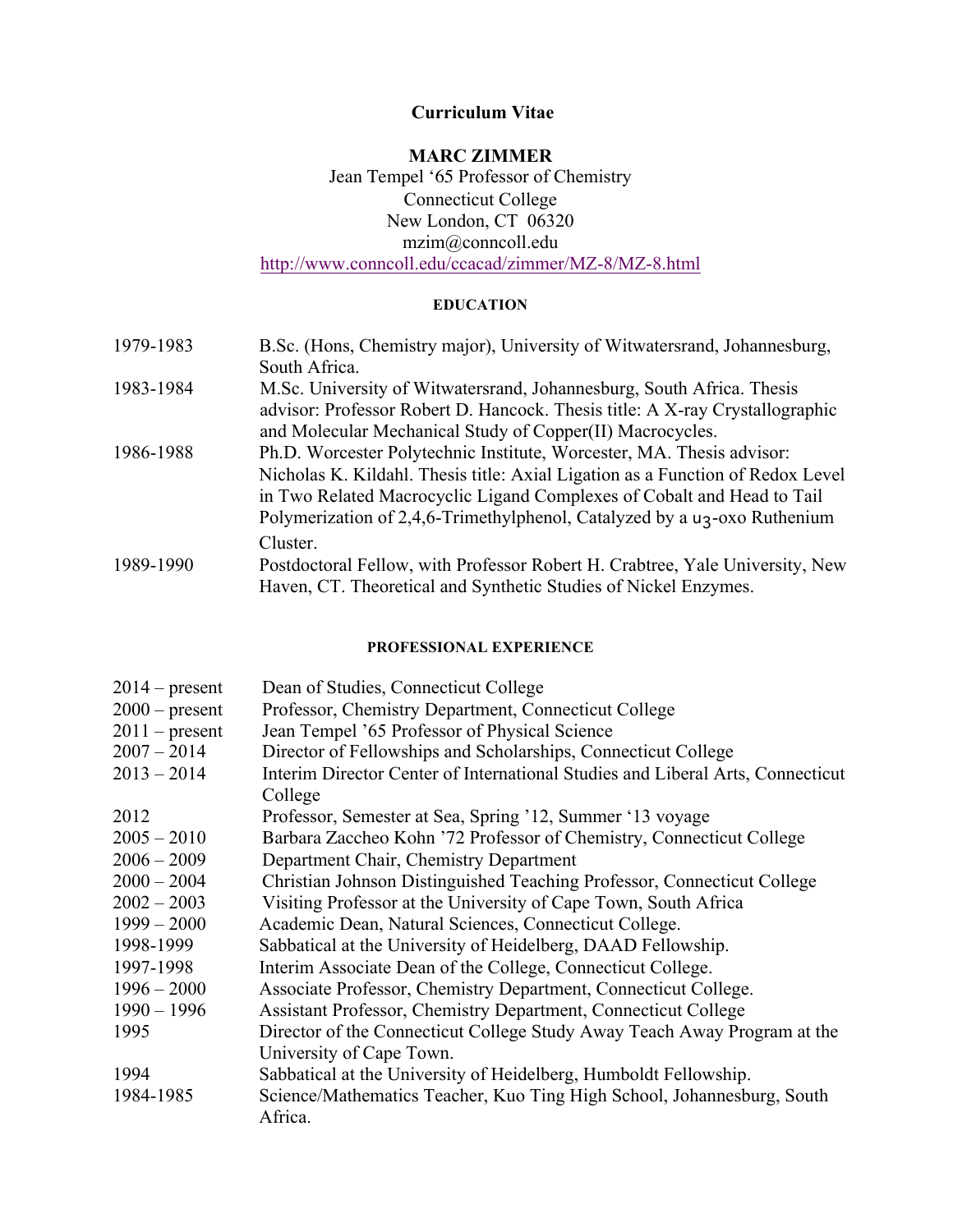# **Curriculum Vitae**

# **MARC ZIMMER** Jean Tempel '65 Professor of Chemistry Connecticut College New London, CT 06320 mzim@conncoll.edu http://www.conncoll.edu/ccacad/zimmer/MZ-8/MZ-8.html

# **EDUCATION**

| 1979-1983 | B.Sc. (Hons, Chemistry major), University of Witwatersrand, Johannesburg,             |
|-----------|---------------------------------------------------------------------------------------|
|           | South Africa.                                                                         |
| 1983-1984 | M.Sc. University of Witwatersrand, Johannesburg, South Africa. Thesis                 |
|           | advisor: Professor Robert D. Hancock. Thesis title: A X-ray Crystallographic          |
|           | and Molecular Mechanical Study of Copper(II) Macrocycles.                             |
| 1986-1988 | Ph.D. Worcester Polytechnic Institute, Worcester, MA. Thesis advisor:                 |
|           | Nicholas K. Kildahl. Thesis title: Axial Ligation as a Function of Redox Level        |
|           | in Two Related Macrocyclic Ligand Complexes of Cobalt and Head to Tail                |
|           | Polymerization of 2,4,6-Trimethylphenol, Catalyzed by a u <sub>3</sub> -oxo Ruthenium |
|           | Cluster.                                                                              |
| 1989-1990 | Postdoctoral Fellow, with Professor Robert H. Crabtree, Yale University, New          |
|           | Haven, CT. Theoretical and Synthetic Studies of Nickel Enzymes.                       |

#### **PROFESSIONAL EXPERIENCE**

| $2014$ – present | Dean of Studies, Connecticut College                                              |
|------------------|-----------------------------------------------------------------------------------|
| $2000$ – present | Professor, Chemistry Department, Connecticut College                              |
| $2011$ – present | Jean Tempel '65 Professor of Physical Science                                     |
| $2007 - 2014$    | Director of Fellowships and Scholarships, Connecticut College                     |
| $2013 - 2014$    | Interim Director Center of International Studies and Liberal Arts, Connecticut    |
|                  | College                                                                           |
| 2012             | Professor, Semester at Sea, Spring '12, Summer '13 voyage                         |
| $2005 - 2010$    | Barbara Zaccheo Kohn '72 Professor of Chemistry, Connecticut College              |
| $2006 - 2009$    | Department Chair, Chemistry Department                                            |
| $2000 - 2004$    | Christian Johnson Distinguished Teaching Professor, Connecticut College           |
| $2002 - 2003$    | Visiting Professor at the University of Cape Town, South Africa                   |
| $1999 - 2000$    | Academic Dean, Natural Sciences, Connecticut College.                             |
| 1998-1999        | Sabbatical at the University of Heidelberg, DAAD Fellowship.                      |
| 1997-1998        | Interim Associate Dean of the College, Connecticut College.                       |
| $1996 - 2000$    | Associate Professor, Chemistry Department, Connecticut College.                   |
| $1990 - 1996$    | Assistant Professor, Chemistry Department, Connecticut College                    |
| 1995             | Director of the Connecticut College Study Away Teach Away Program at the          |
|                  | University of Cape Town.                                                          |
| 1994             | Sabbatical at the University of Heidelberg, Humboldt Fellowship.                  |
| 1984-1985        | Science/Mathematics Teacher, Kuo Ting High School, Johannesburg, South<br>Africa. |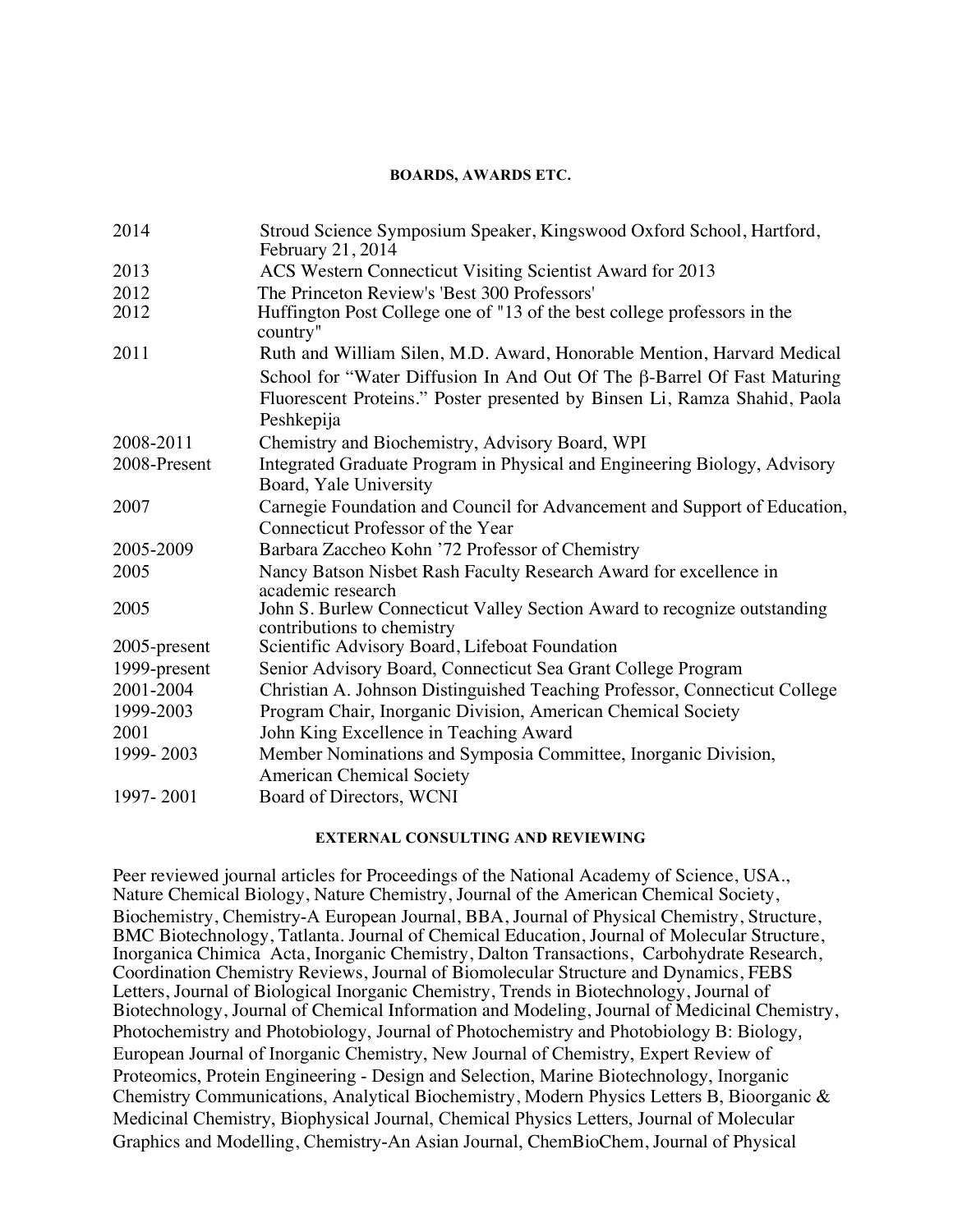#### **BOARDS, AWARDS ETC.**

| 2014         | Stroud Science Symposium Speaker, Kingswood Oxford School, Hartford,<br>February 21, 2014 |
|--------------|-------------------------------------------------------------------------------------------|
| 2013         | ACS Western Connecticut Visiting Scientist Award for 2013                                 |
| 2012         | The Princeton Review's 'Best 300 Professors'                                              |
| 2012         | Huffington Post College one of "13 of the best college professors in the<br>country"      |
| 2011         | Ruth and William Silen, M.D. Award, Honorable Mention, Harvard Medical                    |
|              | School for "Water Diffusion In And Out Of The $\beta$ -Barrel Of Fast Maturing            |
|              | Fluorescent Proteins." Poster presented by Binsen Li, Ramza Shahid, Paola                 |
|              | Peshkepija                                                                                |
| 2008-2011    | Chemistry and Biochemistry, Advisory Board, WPI                                           |
| 2008-Present | Integrated Graduate Program in Physical and Engineering Biology, Advisory                 |
|              | Board, Yale University                                                                    |
| 2007         | Carnegie Foundation and Council for Advancement and Support of Education,                 |
|              | Connecticut Professor of the Year                                                         |
| 2005-2009    | Barbara Zaccheo Kohn '72 Professor of Chemistry                                           |
| 2005         | Nancy Batson Nisbet Rash Faculty Research Award for excellence in                         |
|              | academic research                                                                         |
| 2005         | John S. Burlew Connecticut Valley Section Award to recognize outstanding                  |
| 2005-present | contributions to chemistry<br>Scientific Advisory Board, Lifeboat Foundation              |
|              |                                                                                           |
| 1999-present | Senior Advisory Board, Connecticut Sea Grant College Program                              |
| 2001-2004    | Christian A. Johnson Distinguished Teaching Professor, Connecticut College                |
| 1999-2003    | Program Chair, Inorganic Division, American Chemical Society                              |
| 2001         | John King Excellence in Teaching Award                                                    |
| 1999-2003    | Member Nominations and Symposia Committee, Inorganic Division,                            |
|              | <b>American Chemical Society</b>                                                          |
| 1997-2001    | Board of Directors, WCNI                                                                  |

#### **EXTERNAL CONSULTING AND REVIEWING**

Peer reviewed journal articles for Proceedings of the National Academy of Science, USA., Nature Chemical Biology, Nature Chemistry, Journal of the American Chemical Society, Biochemistry, Chemistry-A European Journal, BBA, Journal of Physical Chemistry, Structure, BMC Biotechnology, Tatlanta. Journal of Chemical Education, Journal of Molecular Structure, Inorganica Chimica Acta, Inorganic Chemistry, Dalton Transactions, Carbohydrate Research, Coordination Chemistry Reviews, Journal of Biomolecular Structure and Dynamics, FEBS Letters, Journal of Biological Inorganic Chemistry, Trends in Biotechnology, Journal of Biotechnology, Journal of Chemical Information and Modeling, Journal of Medicinal Chemistry, Photochemistry and Photobiology, Journal of Photochemistry and Photobiology B: Biology, European Journal of Inorganic Chemistry, New Journal of Chemistry, Expert Review of Proteomics, Protein Engineering - Design and Selection, Marine Biotechnology, Inorganic Chemistry Communications, Analytical Biochemistry, Modern Physics Letters B, Bioorganic & Medicinal Chemistry, Biophysical Journal, Chemical Physics Letters, Journal of Molecular Graphics and Modelling, Chemistry-An Asian Journal, ChemBioChem, Journal of Physical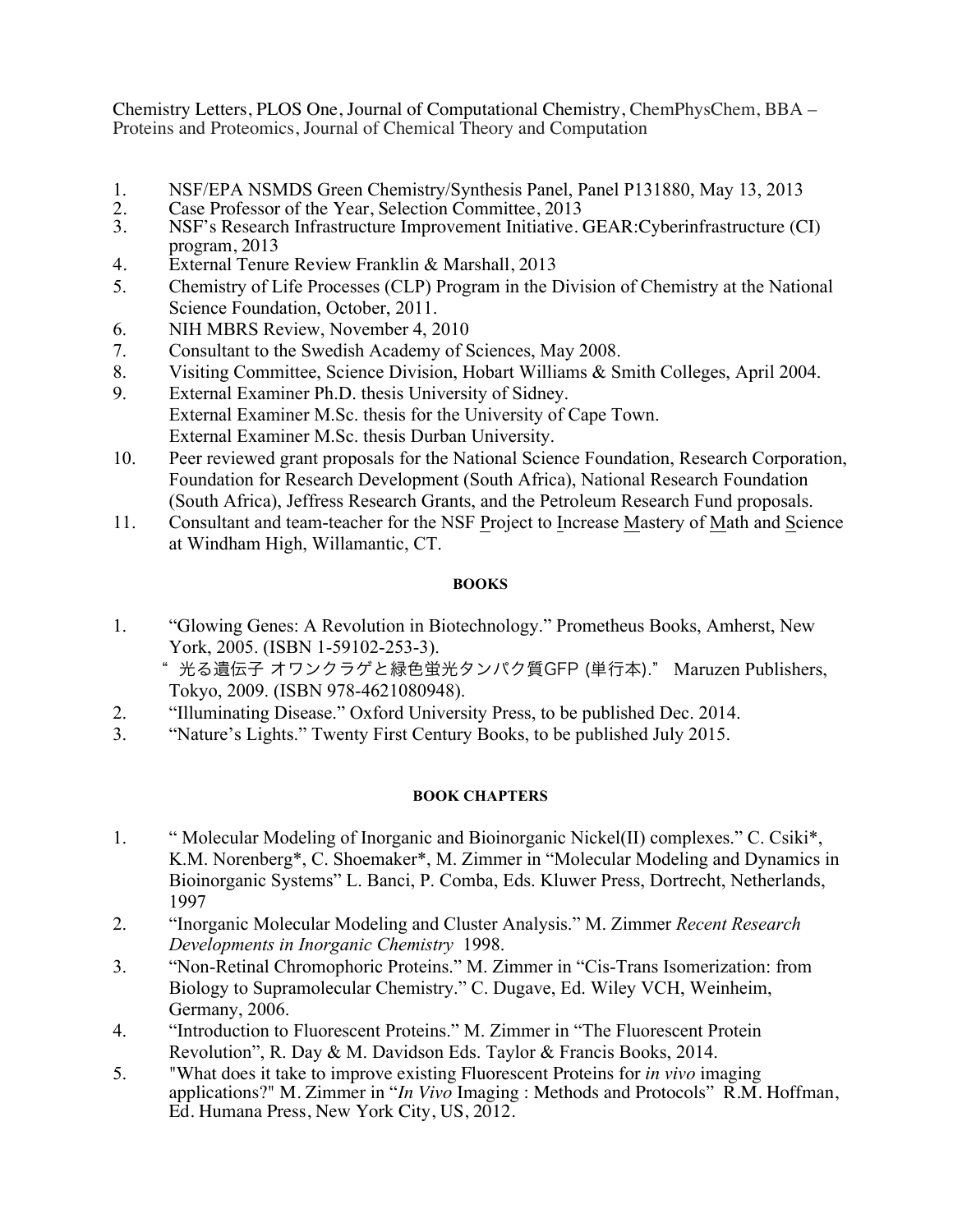Chemistry Letters, PLOS One, Journal of Computational Chemistry, ChemPhysChem, BBA – Proteins and Proteomics, Journal of Chemical Theory and Computation

- 1. NSF/EPA NSMDS Green Chemistry/Synthesis Panel, Panel P131880, May 13, 2013<br>2. Case Professor of the Year, Selection Committee, 2013
- 2. Case Professor of the Year, Selection Committee, 2013<br>3. NSF's Research Infrastructure Improvement Initiative.
- 3. NSF's Research Infrastructure Improvement Initiative. GEAR:Cyberinfrastructure (CI) program, 2013
- 4. External Tenure Review Franklin & Marshall, 2013
- 5. Chemistry of Life Processes (CLP) Program in the Division of Chemistry at the National Science Foundation, October, 2011.
- 6. NIH MBRS Review, November 4, 2010
- 7. Consultant to the Swedish Academy of Sciences, May 2008.
- 8. Visiting Committee, Science Division, Hobart Williams & Smith Colleges, April 2004.
- 9. External Examiner Ph.D. thesis University of Sidney. External Examiner M.Sc. thesis for the University of Cape Town. External Examiner M.Sc. thesis Durban University.
- 10. Peer reviewed grant proposals for the National Science Foundation, Research Corporation, Foundation for Research Development (South Africa), National Research Foundation (South Africa), Jeffress Research Grants, and the Petroleum Research Fund proposals.
- 11. Consultant and team-teacher for the NSF Project to Increase Mastery of Math and Science at Windham High, Willamantic, CT.

# **BOOKS**

1. "Glowing Genes: A Revolution in Biotechnology." Prometheus Books, Amherst, New York, 2005. (ISBN 1-59102-253-3).

" 光る遺伝子 オワンクラゲと緑色蛍光タンパク質GFP (単行本)." Maruzen Publishers, Tokyo, 2009. (ISBN 978-4621080948).

- 2. "Illuminating Disease." Oxford University Press, to be published Dec. 2014.
- 3. "Nature's Lights." Twenty First Century Books, to be published July 2015.

# **BOOK CHAPTERS**

- 1. " Molecular Modeling of Inorganic and Bioinorganic Nickel(II) complexes." C. Csiki\*, K.M. Norenberg\*, C. Shoemaker\*, M. Zimmer in "Molecular Modeling and Dynamics in Bioinorganic Systems" L. Banci, P. Comba, Eds. Kluwer Press, Dortrecht, Netherlands, 1997
- 2. "Inorganic Molecular Modeling and Cluster Analysis." M. Zimmer *Recent Research Developments in Inorganic Chemistry* 1998.
- 3. "Non-Retinal Chromophoric Proteins." M. Zimmer in "Cis-Trans Isomerization: from Biology to Supramolecular Chemistry." C. Dugave, Ed. Wiley VCH, Weinheim, Germany, 2006.
- 4. "Introduction to Fluorescent Proteins." M. Zimmer in "The Fluorescent Protein Revolution", R. Day & M. Davidson Eds. Taylor & Francis Books, 2014.
- 5. "What does it take to improve existing Fluorescent Proteins for *in vivo* imaging applications?" M. Zimmer in "*In Vivo* Imaging : Methods and Protocols" R.M. Hoffman, Ed. Humana Press, New York City, US, 2012.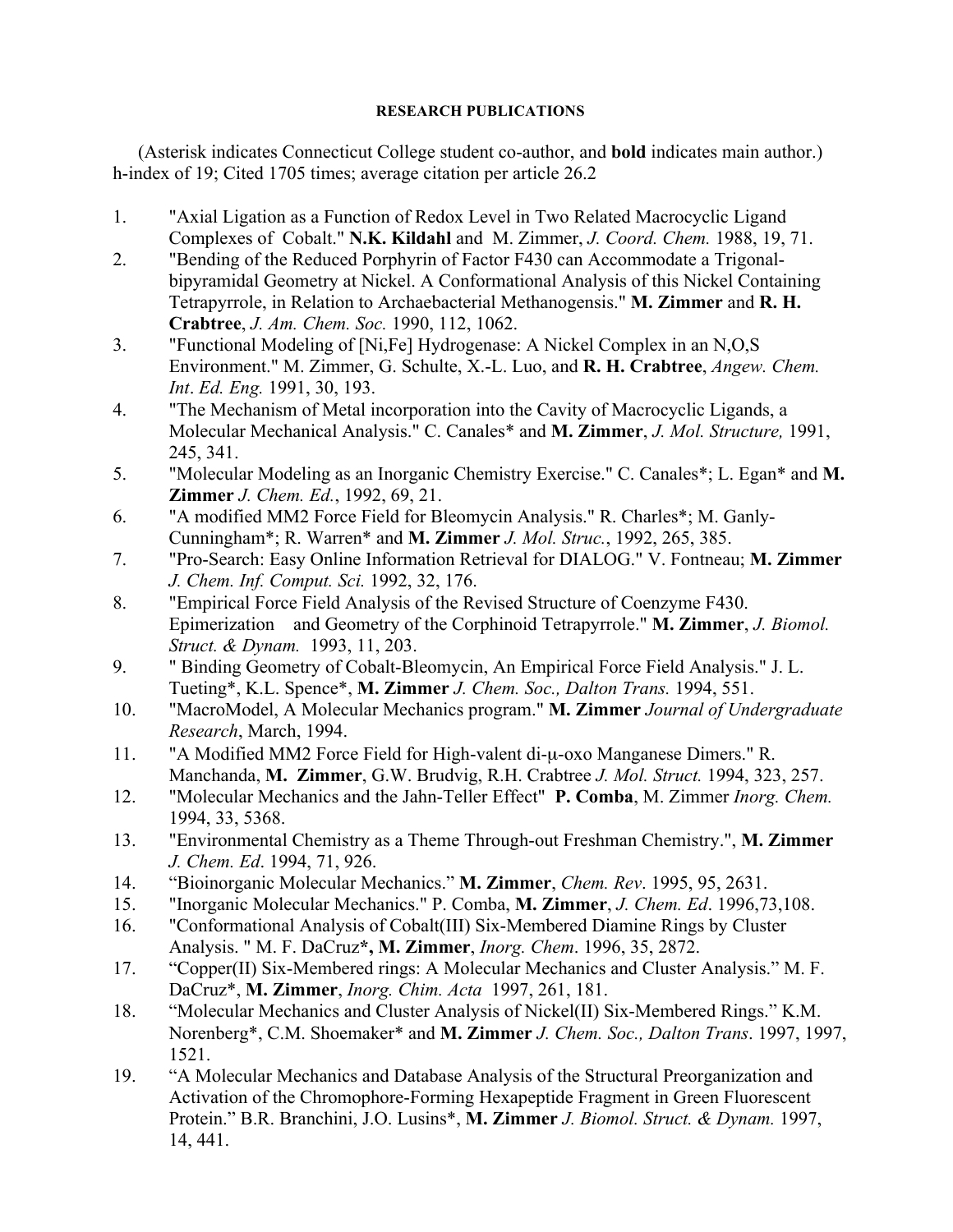### **RESEARCH PUBLICATIONS**

(Asterisk indicates Connecticut College student co-author, and **bold** indicates main author.) h-index of 19; Cited 1705 times; average citation per article 26.2

- 1. "Axial Ligation as a Function of Redox Level in Two Related Macrocyclic Ligand Complexes of Cobalt." **N.K. Kildahl** and M. Zimmer, *J. Coord. Chem.* 1988, 19, 71.
- 2. "Bending of the Reduced Porphyrin of Factor F430 can Accommodate a Trigonalbipyramidal Geometry at Nickel. A Conformational Analysis of this Nickel Containing Tetrapyrrole, in Relation to Archaebacterial Methanogensis." **M. Zimmer** and **R. H. Crabtree**, *J. Am. Chem. Soc.* 1990, 112, 1062.
- 3. "Functional Modeling of [Ni,Fe] Hydrogenase: A Nickel Complex in an N,O,S Environment." M. Zimmer, G. Schulte, X.-L. Luo, and **R. H. Crabtree**, *Angew. Chem. Int*. *Ed. Eng.* 1991, 30, 193.
- 4. "The Mechanism of Metal incorporation into the Cavity of Macrocyclic Ligands, a Molecular Mechanical Analysis." C. Canales\* and **M. Zimmer**, *J. Mol. Structure,* 1991, 245, 341.
- 5. "Molecular Modeling as an Inorganic Chemistry Exercise." C. Canales\*; L. Egan\* and **M. Zimmer** *J. Chem. Ed.*, 1992, 69, 21.
- 6. "A modified MM2 Force Field for Bleomycin Analysis." R. Charles\*; M. Ganly-Cunningham\*; R. Warren\* and **M. Zimmer** *J. Mol. Struc.*, 1992, 265, 385.
- 7. "Pro-Search: Easy Online Information Retrieval for DIALOG." V. Fontneau; **M. Zimmer** *J. Chem. Inf. Comput. Sci.* 1992, 32, 176.
- 8. "Empirical Force Field Analysis of the Revised Structure of Coenzyme F430. Epimerization and Geometry of the Corphinoid Tetrapyrrole." **M. Zimmer**, *J. Biomol. Struct. & Dynam.* 1993, 11, 203.
- 9. " Binding Geometry of Cobalt-Bleomycin, An Empirical Force Field Analysis." J. L. Tueting\*, K.L. Spence\*, **M. Zimmer** *J. Chem. Soc., Dalton Trans.* 1994, 551.
- 10. "MacroModel, A Molecular Mechanics program." **M. Zimmer** *Journal of Undergraduate Research*, March, 1994.
- 11. "A Modified MM2 Force Field for High-valent di-µ-oxo Manganese Dimers." R. Manchanda, **M. Zimmer**, G.W. Brudvig, R.H. Crabtree *J. Mol. Struct.* 1994, 323, 257.
- 12. "Molecular Mechanics and the Jahn-Teller Effect" **P. Comba**, M. Zimmer *Inorg. Chem.* 1994, 33, 5368.
- 13. "Environmental Chemistry as a Theme Through-out Freshman Chemistry.", **M. Zimmer** *J. Chem. Ed*. 1994, 71, 926.
- 14. "Bioinorganic Molecular Mechanics." **M. Zimmer**, *Chem. Rev*. 1995, 95, 2631.
- 15. "Inorganic Molecular Mechanics." P. Comba, **M. Zimmer**, *J. Chem. Ed*. 1996,73,108.
- 16. "Conformational Analysis of Cobalt(III) Six-Membered Diamine Rings by Cluster Analysis. " M. F. DaCruz**\*, M. Zimmer**, *Inorg. Chem*. 1996, 35, 2872.
- 17. "Copper(II) Six-Membered rings: A Molecular Mechanics and Cluster Analysis." M. F. DaCruz\*, **M. Zimmer**, *Inorg. Chim. Acta* 1997, 261, 181.
- 18. "Molecular Mechanics and Cluster Analysis of Nickel(II) Six-Membered Rings." K.M. Norenberg\*, C.M. Shoemaker\* and **M. Zimmer** *J. Chem. Soc., Dalton Trans*. 1997, 1997, 1521.
- 19. "A Molecular Mechanics and Database Analysis of the Structural Preorganization and Activation of the Chromophore-Forming Hexapeptide Fragment in Green Fluorescent Protein." B.R. Branchini, J.O. Lusins\*, **M. Zimmer** *J. Biomol. Struct. & Dynam.* 1997, 14, 441.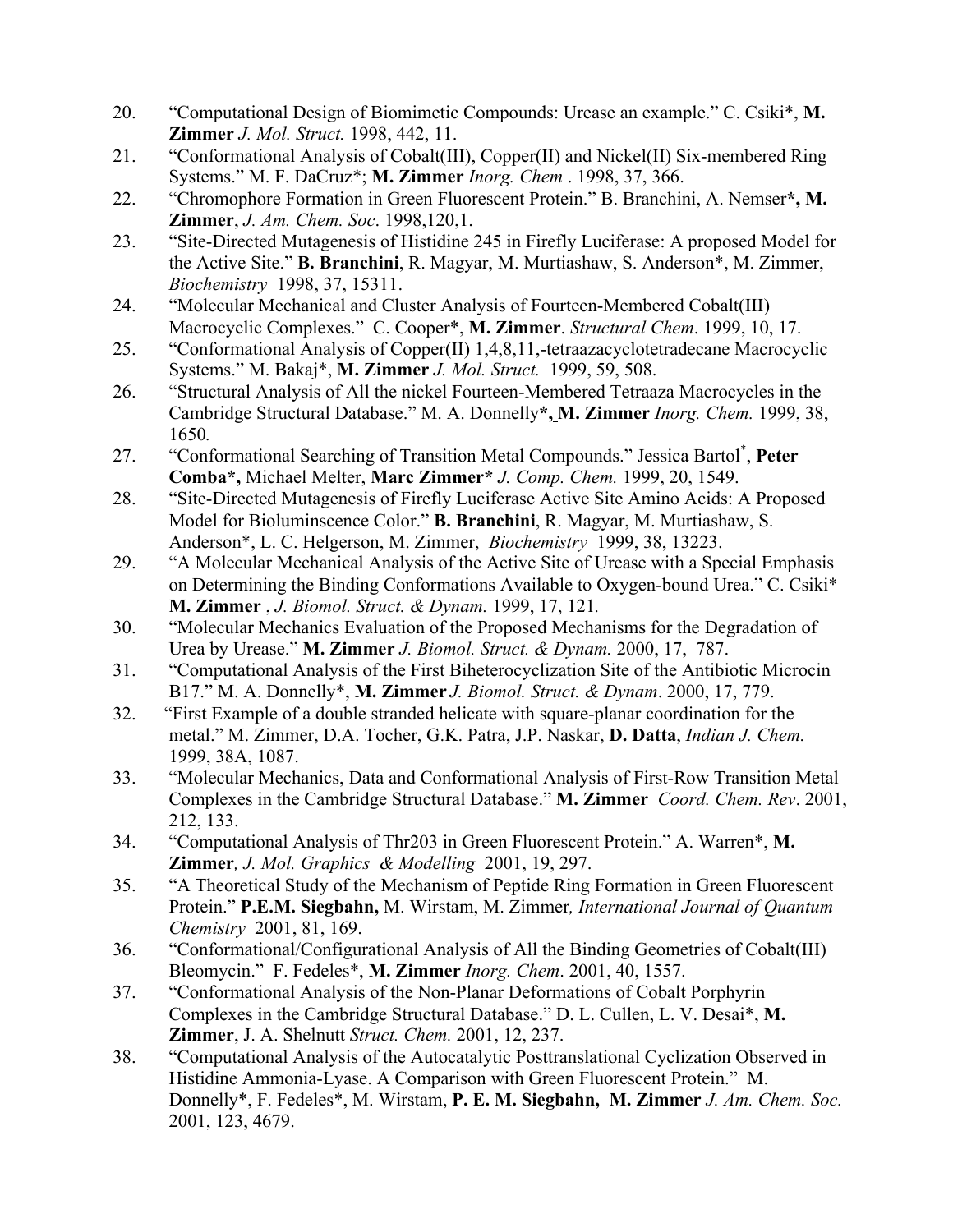- 20. "Computational Design of Biomimetic Compounds: Urease an example." C. Csiki\*, **M. Zimmer** *J. Mol. Struct.* 1998, 442, 11.
- 21. "Conformational Analysis of Cobalt(III), Copper(II) and Nickel(II) Six-membered Ring Systems." M. F. DaCruz\*; **M. Zimmer** *Inorg. Chem* . 1998, 37, 366.
- 22. "Chromophore Formation in Green Fluorescent Protein." B. Branchini, A. Nemser**\*, M. Zimmer**, *J. Am. Chem. Soc*. 1998,120,1.
- 23. "Site-Directed Mutagenesis of Histidine 245 in Firefly Luciferase: A proposed Model for the Active Site." **B. Branchini**, R. Magyar, M. Murtiashaw, S. Anderson\*, M. Zimmer, *Biochemistry* 1998, 37, 15311.
- 24. "Molecular Mechanical and Cluster Analysis of Fourteen-Membered Cobalt(III) Macrocyclic Complexes." C. Cooper\*, **M. Zimmer**. *Structural Chem*. 1999, 10, 17.
- 25. "Conformational Analysis of Copper(II) 1,4,8,11,-tetraazacyclotetradecane Macrocyclic Systems." M. Bakaj\*, **M. Zimmer** *J. Mol. Struct.* 1999, 59, 508.
- 26. "Structural Analysis of All the nickel Fourteen-Membered Tetraaza Macrocycles in the Cambridge Structural Database." M. A. Donnelly**\*, M. Zimmer** *Inorg. Chem.* 1999, 38, 1650*.*
- 27. "Conformational Searching of Transition Metal Compounds." Jessica Bartol\* , **Peter Comba\*,** Michael Melter, **Marc Zimmer\*** *J. Comp. Chem.* 1999, 20, 1549.
- 28. "Site-Directed Mutagenesis of Firefly Luciferase Active Site Amino Acids: A Proposed Model for Bioluminscence Color." **B. Branchini**, R. Magyar, M. Murtiashaw, S. Anderson\*, L. C. Helgerson, M. Zimmer, *Biochemistry* 1999, 38, 13223.
- 29. "A Molecular Mechanical Analysis of the Active Site of Urease with a Special Emphasis on Determining the Binding Conformations Available to Oxygen-bound Urea." C. Csiki\* **M. Zimmer** , *J. Biomol. Struct. & Dynam.* 1999, 17, 121*.*
- 30. "Molecular Mechanics Evaluation of the Proposed Mechanisms for the Degradation of Urea by Urease." **M. Zimmer** *J. Biomol. Struct. & Dynam.* 2000, 17, 787.
- 31. "Computational Analysis of the First Biheterocyclization Site of the Antibiotic Microcin B17." M. A. Donnelly\*, **M. Zimmer** *J. Biomol. Struct. & Dynam*. 2000, 17, 779.
- 32. "First Example of a double stranded helicate with square-planar coordination for the metal." M. Zimmer, D.A. Tocher, G.K. Patra, J.P. Naskar, **D. Datta**, *Indian J. Chem.* 1999, 38A, 1087.
- 33. "Molecular Mechanics, Data and Conformational Analysis of First-Row Transition Metal Complexes in the Cambridge Structural Database." **M. Zimmer** *Coord. Chem. Rev*. 2001, 212, 133.
- 34. "Computational Analysis of Thr203 in Green Fluorescent Protein." A. Warren\*, **M. Zimmer***, J. Mol. Graphics & Modelling* 2001, 19, 297.
- 35. "A Theoretical Study of the Mechanism of Peptide Ring Formation in Green Fluorescent Protein." **P.E.M. Siegbahn,** M. Wirstam, M. Zimmer*, International Journal of Quantum Chemistry* 2001, 81, 169.
- 36. "Conformational/Configurational Analysis of All the Binding Geometries of Cobalt(III) Bleomycin." F. Fedeles\*, **M. Zimmer** *Inorg. Chem*. 2001, 40, 1557.
- 37. "Conformational Analysis of the Non-Planar Deformations of Cobalt Porphyrin Complexes in the Cambridge Structural Database." D. L. Cullen, L. V. Desai\*, **M. Zimmer**, J. A. Shelnutt *Struct. Chem.* 2001, 12, 237.
- 38. "Computational Analysis of the Autocatalytic Posttranslational Cyclization Observed in Histidine Ammonia-Lyase. A Comparison with Green Fluorescent Protein." M. Donnelly\*, F. Fedeles\*, M. Wirstam, **P. E. M. Siegbahn, M. Zimmer** *J. Am. Chem. Soc.* 2001, 123, 4679.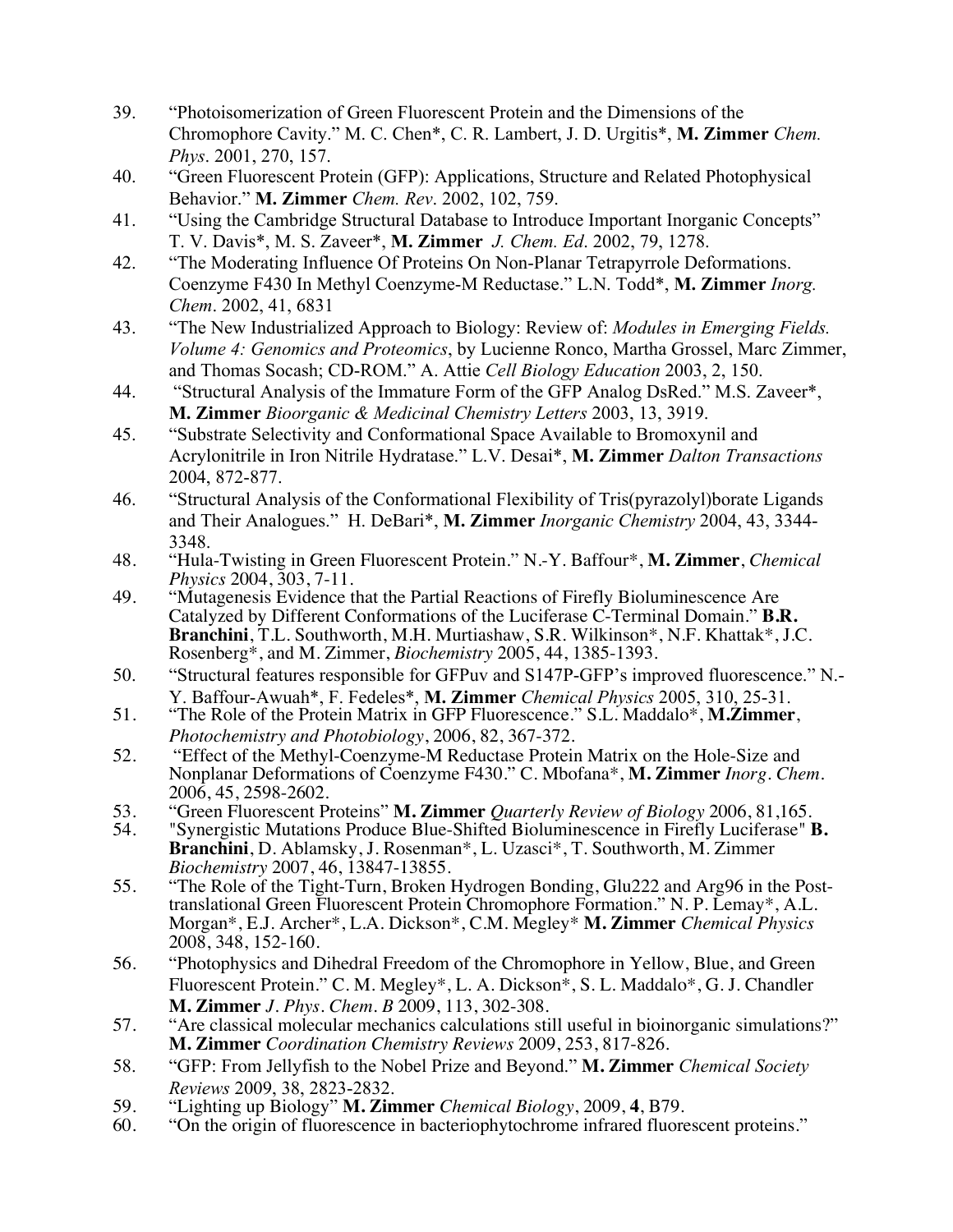- 39. "Photoisomerization of Green Fluorescent Protein and the Dimensions of the Chromophore Cavity." M. C. Chen\*, C. R. Lambert, J. D. Urgitis\*, **M. Zimmer** *Chem. Phys*. 2001, 270, 157.
- 40. "Green Fluorescent Protein (GFP): Applications, Structure and Related Photophysical Behavior." **M. Zimmer** *Chem. Rev*. 2002, 102, 759.
- 41. "Using the Cambridge Structural Database to Introduce Important Inorganic Concepts" T. V. Davis\*, M. S. Zaveer\*, **M. Zimmer** *J. Chem. Ed*. 2002, 79, 1278.
- 42. "The Moderating Influence Of Proteins On Non-Planar Tetrapyrrole Deformations. Coenzyme F430 In Methyl Coenzyme-M Reductase." L.N. Todd\*, **M. Zimmer** *Inorg. Chem*. 2002, 41, 6831
- 43. "The New Industrialized Approach to Biology: Review of: *Modules in Emerging Fields. Volume 4: Genomics and Proteomics*, by Lucienne Ronco, Martha Grossel, Marc Zimmer, and Thomas Socash; CD-ROM." A. Attie *Cell Biology Education* 2003, 2, 150.
- 44. "Structural Analysis of the Immature Form of the GFP Analog DsRed." M.S. Zaveer\*, **M. Zimmer** *Bioorganic & Medicinal Chemistry Letters* 2003, 13, 3919.
- 45. "Substrate Selectivity and Conformational Space Available to Bromoxynil and Acrylonitrile in Iron Nitrile Hydratase." L.V. Desai\*, **M. Zimmer** *Dalton Transactions* 2004, 872-877.
- 46. "Structural Analysis of the Conformational Flexibility of Tris(pyrazolyl)borate Ligands and Their Analogues." H. DeBari\*, **M. Zimmer** *Inorganic Chemistry* 2004, 43, 3344- 3348.
- 48. "Hula-Twisting in Green Fluorescent Protein." N.-Y. Baffour\*, **M. Zimmer**, *Chemical Physics* 2004, 303, 7-11.
- 49. "Mutagenesis Evidence that the Partial Reactions of Firefly Bioluminescence Are Catalyzed by Different Conformations of the Luciferase C-Terminal Domain." **B.R. Branchini**, T.L. Southworth, M.H. Murtiashaw, S.R. Wilkinson\*, N.F. Khattak\*, J.C. Rosenberg\*, and M. Zimmer, *Biochemistry* 2005, 44, 1385-1393.
- 50. "Structural features responsible for GFPuv and S147P-GFP's improved fluorescence." N.- Y. Baffour-Awuah\*, F. Fedeles\*, **M. Zimmer** *Chemical Physics* 2005, 310, 25-31.
- 51. "The Role of the Protein Matrix in GFP Fluorescence." S.L. Maddalo\*, **M.Zimmer**, *Photochemistry and Photobiology*, 2006, 82, 367-372.
- 52. "Effect of the Methyl-Coenzyme-M Reductase Protein Matrix on the Hole-Size and Nonplanar Deformations of Coenzyme F430." C. Mbofana\*, **M. Zimmer** *Inorg. Chem.* 2006, 45, 2598-2602.
- 53. "Green Fluorescent Proteins" **M. Zimmer** *Quarterly Review of Biology* 2006, 81,165.
- 54. "Synergistic Mutations Produce Blue-Shifted Bioluminescence in Firefly Luciferase" **B. Branchini**, D. Ablamsky, J. Rosenman\*, L. Uzasci\*, T. Southworth, M. Zimmer
- *Biochemistry* 2007, 46, 13847-13855.<br>"The Role of the Tight-Turn, Broken Hydrogen Bonding, Glu222 and Arg96 in the Post-55. "The Role of the Tight-Turn, Broken Hydrogen Bonding, Glu222 and Arg96 in the Post-<br>translational Green Fluorescent Protein Chromophore Formation." N. P. Lemay\*, A.L. Morgan\*, E.J. Archer\*, L.A. Dickson\*, C.M. Megley\* **M. Zimmer** *Chemical Physics* 2008, 348, 152-160.
- 56. "Photophysics and Dihedral Freedom of the Chromophore in Yellow, Blue, and Green Fluorescent Protein." C. M. Megley\*, L. A. Dickson\*, S. L. Maddalo\*, G. J. Chandler **M. Zimmer** *J. Phys. Chem. B* 2009, 113, 302-308.
- 57. "Are classical molecular mechanics calculations still useful in bioinorganic simulations?" **M. Zimmer** *Coordination Chemistry Reviews* 2009, 253, 817-826.
- 58. "GFP: From Jellyfish to the Nobel Prize and Beyond." **M. Zimmer** *Chemical Society Reviews* 2009, 38, 2823-2832.
- 59. "Lighting up Biology" **M. Zimmer** *Chemical Biology*, 2009, **4**, B79.
- "On the origin of fluorescence in bacteriophytochrome infrared fluorescent proteins."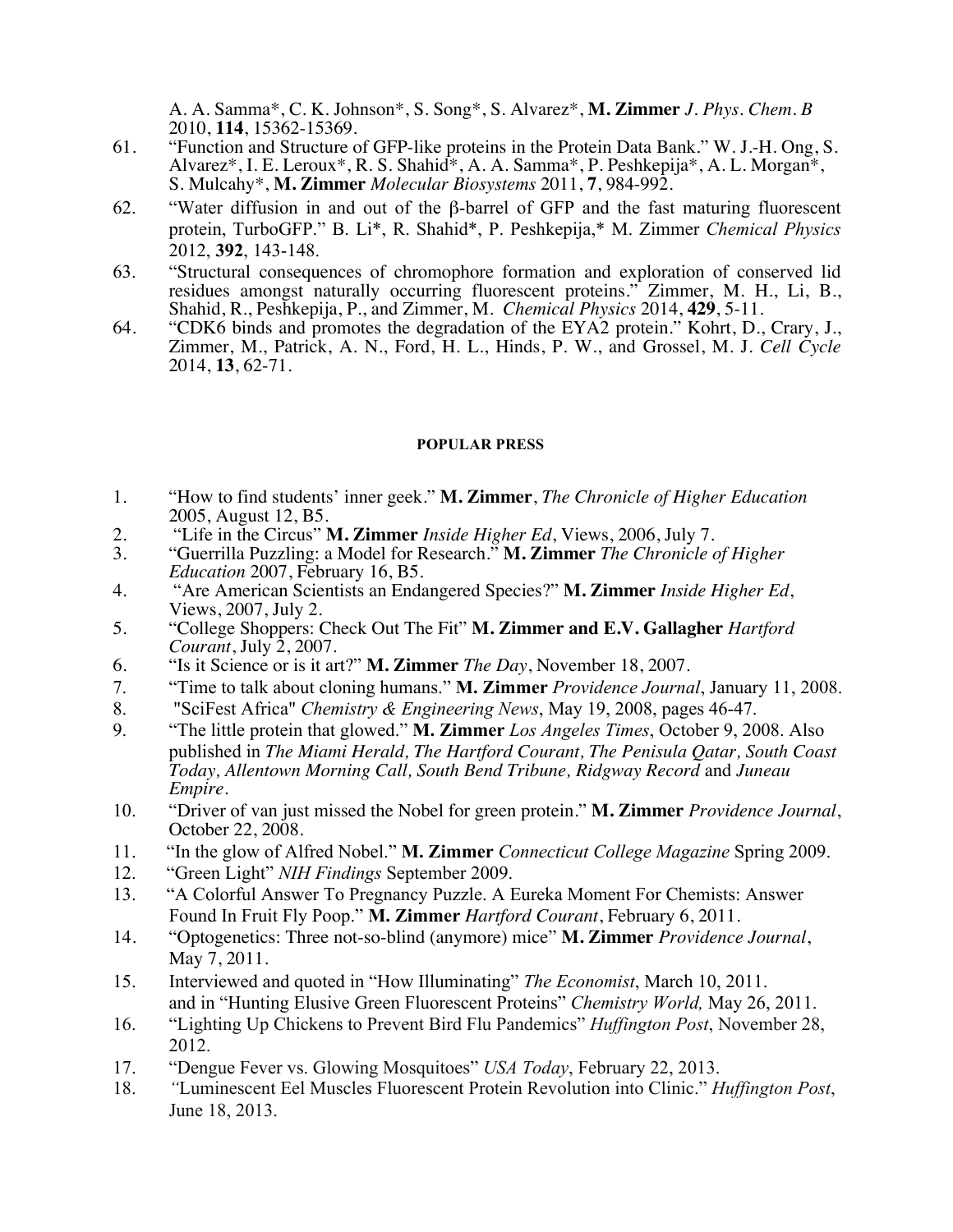A. A. Samma\*, C. K. Johnson\*, S. Song\*, S. Alvarez\*, **M. Zimmer** *J. Phys. Chem. B* 2010, **114**, 15362-15369.

- 61. "Function and Structure of GFP-like proteins in the Protein Data Bank." W. J.-H. Ong, S. Alvarez\*, I. E. Leroux\*, R. S. Shahid\*, A. A. Samma\*, P. Peshkepija\*, A. L. Morgan\*, S. Mulcahy\*, **M. Zimmer** *Molecular Biosystems* 2011, **7**, 984-992.
- 62. "Water diffusion in and out of the β-barrel of GFP and the fast maturing fluorescent protein, TurboGFP." B. Li\*, R. Shahid\*, P. Peshkepija,\* M. Zimmer *Chemical Physics* 2012, **392**, 143-148.
- 63. "Structural consequences of chromophore formation and exploration of conserved lid residues amongst naturally occurring fluorescent proteins." Zimmer, M. H., Li, B., Shahid, R., Peshkepija, P., and Zimmer, M. *Chemical Physics* 2014, **429**, 5-11.
- 64. "CDK6 binds and promotes the degradation of the EYA2 protein." Kohrt, D., Crary, J., Zimmer, M., Patrick, A. N., Ford, H. L., Hinds, P. W., and Grossel, M. J. *Cell Cycle* 2014, **13**, 62-71.

#### **POPULAR PRESS**

- 1. "How to find students' inner geek." **M. Zimmer**, *The Chronicle of Higher Education* 2005, August 12, B5.
- 2. "Life in the Circus" **M. Zimmer** *Inside Higher Ed*, Views, 2006, July 7.
- 3. "Guerrilla Puzzling: a Model for Research." **M. Zimmer** *The Chronicle of Higher Education* 2007, February 16, B5.
- 4. "Are American Scientists an Endangered Species?" **M. Zimmer** *Inside Higher Ed*, Views, 2007, July 2.
- 5. "College Shoppers: Check Out The Fit" **M. Zimmer and E.V. Gallagher** *Hartford Courant*, July 2, 2007.
- 6. "Is it Science or is it art?" **M. Zimmer** *The Day*, November 18, 2007.
- 7. "Time to talk about cloning humans." **M. Zimmer** *Providence Journal*, January 11, 2008.
- 8. "SciFest Africa" *Chemistry & Engineering News*, May 19, 2008, pages 46-47.
- 9. "The little protein that glowed." **M. Zimmer** *Los Angeles Times*, October 9, 2008. Also published in *The Miami Herald, The Hartford Courant, The Penisula Qatar, South Coast Today, Allentown Morning Call, South Bend Tribune, Ridgway Record* and *Juneau Empire*.
- 10. "Driver of van just missed the Nobel for green protein." **M. Zimmer** *Providence Journal*, October 22, 2008.
- 11. "In the glow of Alfred Nobel." **M. Zimmer** *Connecticut College Magazine* Spring 2009.
- 12. "Green Light" *NIH Findings* September 2009.
- 13. "A Colorful Answer To Pregnancy Puzzle. A Eureka Moment For Chemists: Answer Found In Fruit Fly Poop." **M. Zimmer** *Hartford Courant*, February 6, 2011.
- 14. "Optogenetics: Three not-so-blind (anymore) mice" **M. Zimmer** *Providence Journal*, May 7, 2011.
- 15. Interviewed and quoted in "How Illuminating" *The Economist*, March 10, 2011. and in "Hunting Elusive Green Fluorescent Proteins" *Chemistry World,* May 26, 2011.
- 16. "Lighting Up Chickens to Prevent Bird Flu Pandemics" *Huffington Post*, November 28, 2012.
- 17. "Dengue Fever vs. Glowing Mosquitoes" *USA Today*, February 22, 2013.
- 18. *"*Luminescent Eel Muscles Fluorescent Protein Revolution into Clinic." *Huffington Post*, June 18, 2013.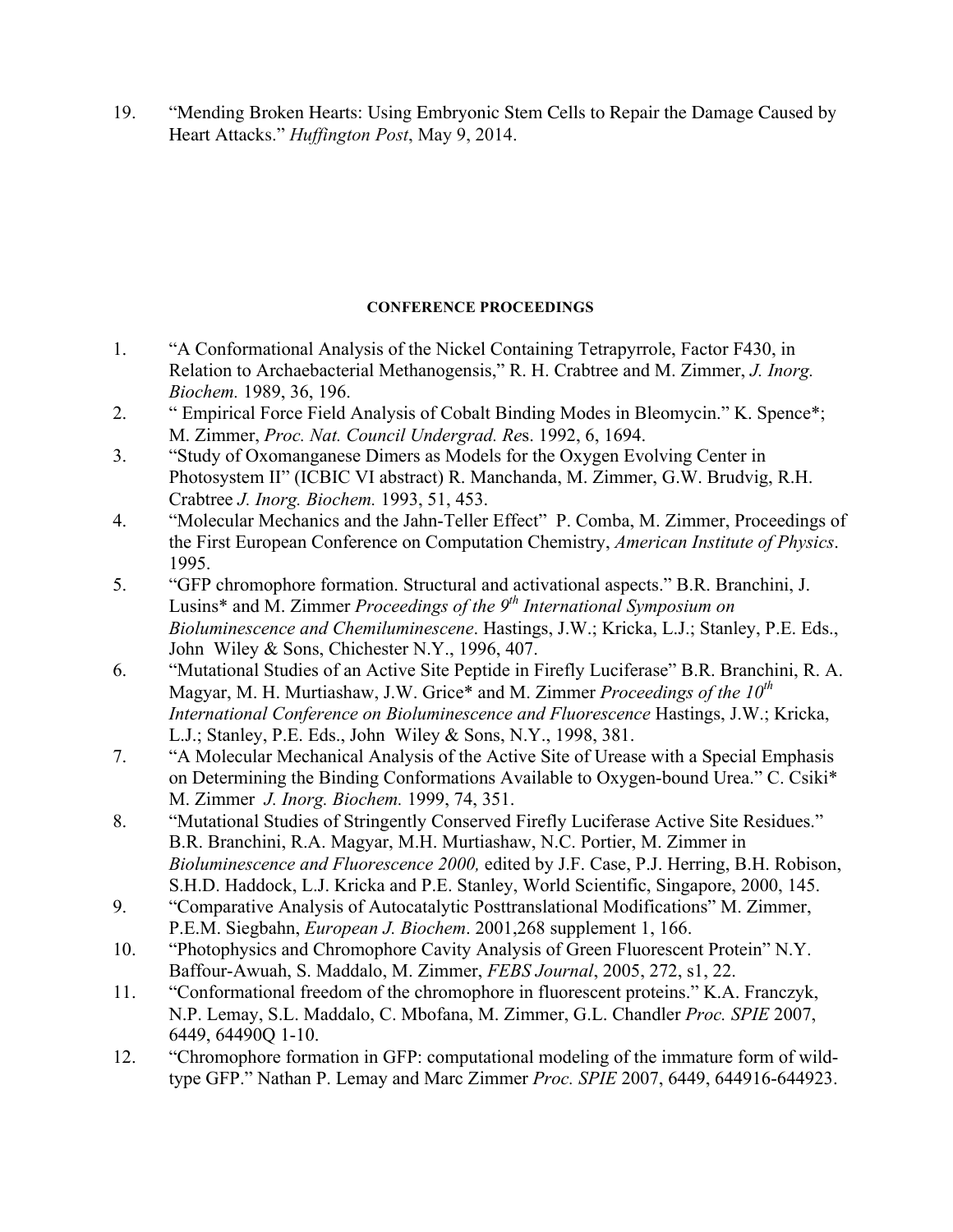19. "Mending Broken Hearts: Using Embryonic Stem Cells to Repair the Damage Caused by Heart Attacks." *Huffington Post*, May 9, 2014.

# **CONFERENCE PROCEEDINGS**

- 1. "A Conformational Analysis of the Nickel Containing Tetrapyrrole, Factor F430, in Relation to Archaebacterial Methanogensis," R. H. Crabtree and M. Zimmer, *J. Inorg. Biochem.* 1989, 36, 196.
- 2. " Empirical Force Field Analysis of Cobalt Binding Modes in Bleomycin." K. Spence\*; M. Zimmer, *Proc. Nat. Council Undergrad. Re*s. 1992, 6, 1694.
- 3. "Study of Oxomanganese Dimers as Models for the Oxygen Evolving Center in Photosystem II" (ICBIC VI abstract) R. Manchanda, M. Zimmer, G.W. Brudvig, R.H. Crabtree *J. Inorg. Biochem.* 1993, 51, 453.
- 4. "Molecular Mechanics and the Jahn-Teller Effect" P. Comba, M. Zimmer, Proceedings of the First European Conference on Computation Chemistry, *American Institute of Physics*. 1995.
- 5. "GFP chromophore formation. Structural and activational aspects." B.R. Branchini, J. Lusins\* and M. Zimmer *Proceedings of the 9th International Symposium on Bioluminescence and Chemiluminescene*. Hastings, J.W.; Kricka, L.J.; Stanley, P.E. Eds., John Wiley & Sons, Chichester N.Y., 1996, 407.
- 6. "Mutational Studies of an Active Site Peptide in Firefly Luciferase" B.R. Branchini, R. A. Magyar, M. H. Murtiashaw, J.W. Grice<sup>\*</sup> and M. Zimmer *Proceedings of the 10<sup>th</sup> International Conference on Bioluminescence and Fluorescence* Hastings, J.W.; Kricka, L.J.; Stanley, P.E. Eds., John Wiley & Sons, N.Y., 1998, 381.
- 7. "A Molecular Mechanical Analysis of the Active Site of Urease with a Special Emphasis on Determining the Binding Conformations Available to Oxygen-bound Urea." C. Csiki\* M. Zimmer *J. Inorg. Biochem.* 1999, 74, 351.
- 8. "Mutational Studies of Stringently Conserved Firefly Luciferase Active Site Residues." B.R. Branchini, R.A. Magyar, M.H. Murtiashaw, N.C. Portier, M. Zimmer in *Bioluminescence and Fluorescence 2000,* edited by J.F. Case, P.J. Herring, B.H. Robison, S.H.D. Haddock, L.J. Kricka and P.E. Stanley, World Scientific, Singapore, 2000, 145.
- 9. "Comparative Analysis of Autocatalytic Posttranslational Modifications" M. Zimmer, P.E.M. Siegbahn, *European J. Biochem*. 2001,268 supplement 1, 166.
- 10. "Photophysics and Chromophore Cavity Analysis of Green Fluorescent Protein" N.Y. Baffour-Awuah, S. Maddalo, M. Zimmer, *FEBS Journal*, 2005, 272, s1, 22.
- 11. "Conformational freedom of the chromophore in fluorescent proteins." K.A. Franczyk, N.P. Lemay, S.L. Maddalo, C. Mbofana, M. Zimmer, G.L. Chandler *Proc. SPIE* 2007, 6449, 64490Q 1-10.
- 12. "Chromophore formation in GFP: computational modeling of the immature form of wildtype GFP." Nathan P. Lemay and Marc Zimmer *Proc. SPIE* 2007, 6449, 644916-644923.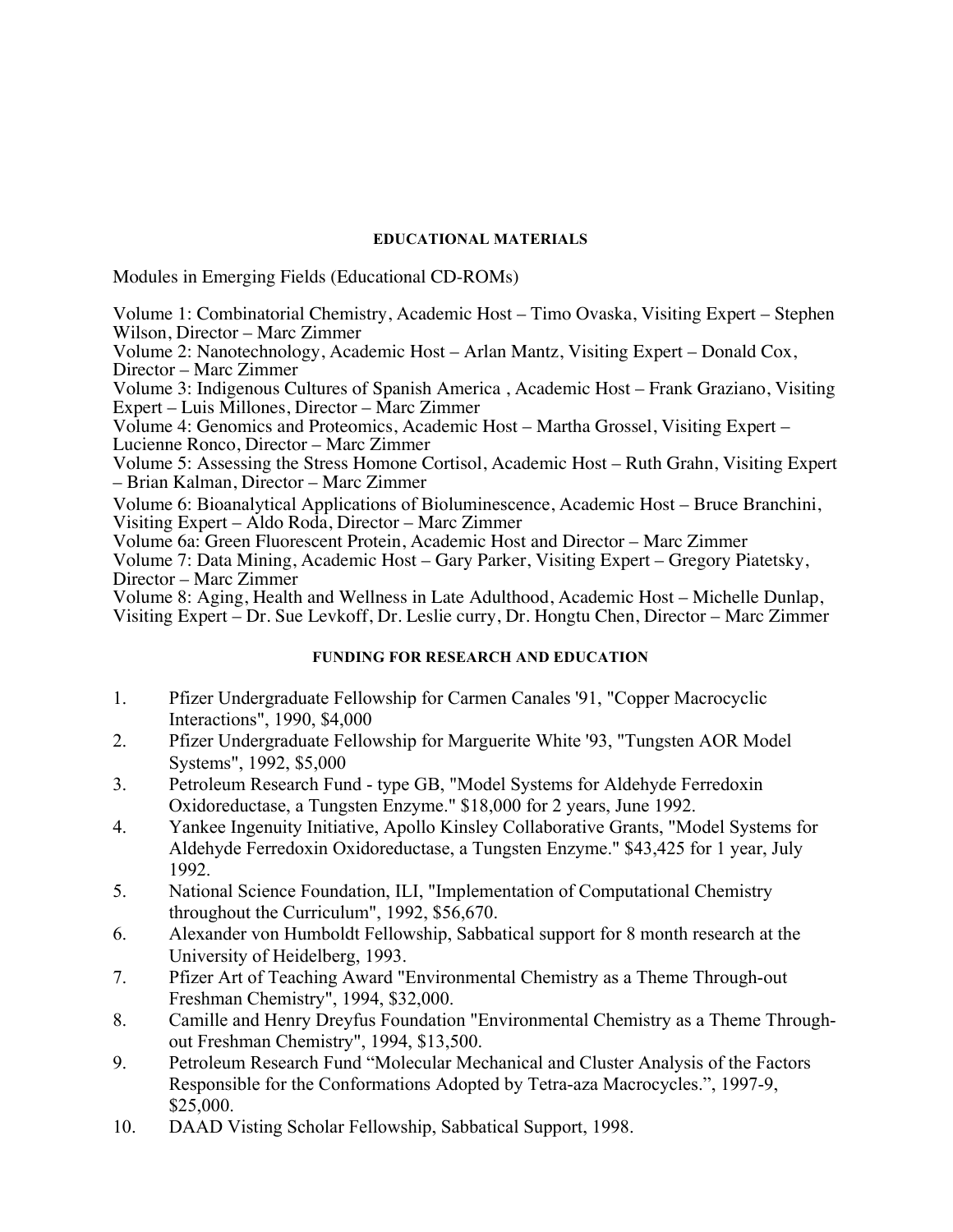### **EDUCATIONAL MATERIALS**

Modules in Emerging Fields (Educational CD-ROMs)

Volume 1: Combinatorial Chemistry, Academic Host – Timo Ovaska, Visiting Expert – Stephen Wilson, Director – Marc Zimmer Volume 2: Nanotechnology, Academic Host – Arlan Mantz, Visiting Expert – Donald Cox, Director – Marc Zimmer Volume 3: Indigenous Cultures of Spanish America , Academic Host – Frank Graziano, Visiting Expert – Luis Millones, Director – Marc Zimmer Volume 4: Genomics and Proteomics, Academic Host – Martha Grossel, Visiting Expert – Lucienne Ronco, Director – Marc Zimmer Volume 5: Assessing the Stress Homone Cortisol, Academic Host – Ruth Grahn, Visiting Expert – Brian Kalman, Director – Marc Zimmer Volume 6: Bioanalytical Applications of Bioluminescence, Academic Host – Bruce Branchini, Visiting Expert – Aldo Roda, Director – Marc Zimmer Volume 6a: Green Fluorescent Protein, Academic Host and Director – Marc Zimmer Volume 7: Data Mining, Academic Host – Gary Parker, Visiting Expert – Gregory Piatetsky, Director – Marc Zimmer Volume 8: Aging, Health and Wellness in Late Adulthood, Academic Host – Michelle Dunlap, Visiting Expert – Dr. Sue Levkoff, Dr. Leslie curry, Dr. Hongtu Chen, Director – Marc Zimmer

## **FUNDING FOR RESEARCH AND EDUCATION**

- 1. Pfizer Undergraduate Fellowship for Carmen Canales '91, "Copper Macrocyclic Interactions", 1990, \$4,000
- 2. Pfizer Undergraduate Fellowship for Marguerite White '93, "Tungsten AOR Model Systems", 1992, \$5,000
- 3. Petroleum Research Fund type GB, "Model Systems for Aldehyde Ferredoxin Oxidoreductase, a Tungsten Enzyme." \$18,000 for 2 years, June 1992.
- 4. Yankee Ingenuity Initiative, Apollo Kinsley Collaborative Grants, "Model Systems for Aldehyde Ferredoxin Oxidoreductase, a Tungsten Enzyme." \$43,425 for 1 year, July 1992.
- 5. National Science Foundation, ILI, "Implementation of Computational Chemistry throughout the Curriculum", 1992, \$56,670.
- 6. Alexander von Humboldt Fellowship, Sabbatical support for 8 month research at the University of Heidelberg, 1993.
- 7. Pfizer Art of Teaching Award "Environmental Chemistry as a Theme Through-out Freshman Chemistry", 1994, \$32,000.
- 8. Camille and Henry Dreyfus Foundation "Environmental Chemistry as a Theme Throughout Freshman Chemistry", 1994, \$13,500.
- 9. Petroleum Research Fund "Molecular Mechanical and Cluster Analysis of the Factors Responsible for the Conformations Adopted by Tetra-aza Macrocycles.", 1997-9, \$25,000.
- 10. DAAD Visting Scholar Fellowship, Sabbatical Support, 1998.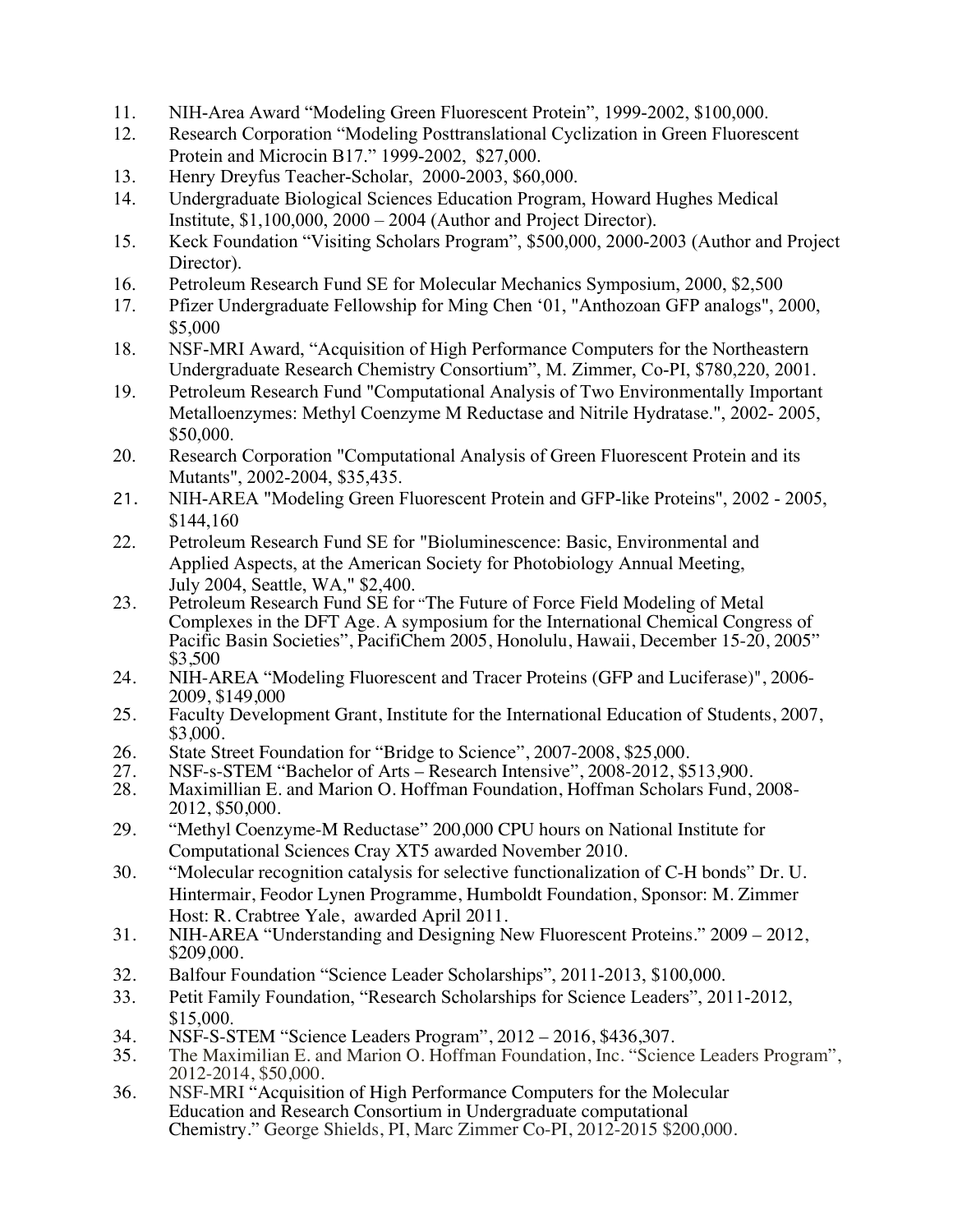- 11. NIH-Area Award "Modeling Green Fluorescent Protein", 1999-2002, \$100,000.
- 12. Research Corporation "Modeling Posttranslational Cyclization in Green Fluorescent Protein and Microcin B17." 1999-2002, \$27,000.
- 13. Henry Dreyfus Teacher-Scholar, 2000-2003, \$60,000.
- 14. Undergraduate Biological Sciences Education Program, Howard Hughes Medical Institute, \$1,100,000, 2000 – 2004 (Author and Project Director).
- 15. Keck Foundation "Visiting Scholars Program", \$500,000, 2000-2003 (Author and Project Director).
- 16. Petroleum Research Fund SE for Molecular Mechanics Symposium, 2000, \$2,500
- 17. Pfizer Undergraduate Fellowship for Ming Chen '01, "Anthozoan GFP analogs", 2000, \$5,000
- 18. NSF-MRI Award, "Acquisition of High Performance Computers for the Northeastern Undergraduate Research Chemistry Consortium", M. Zimmer, Co-PI, \$780,220, 2001.
- 19. Petroleum Research Fund "Computational Analysis of Two Environmentally Important Metalloenzymes: Methyl Coenzyme M Reductase and Nitrile Hydratase.", 2002- 2005, \$50,000.
- 20. Research Corporation "Computational Analysis of Green Fluorescent Protein and its Mutants", 2002-2004, \$35,435.
- 21. NIH-AREA "Modeling Green Fluorescent Protein and GFP-like Proteins", 2002 2005, \$144,160
- 22. Petroleum Research Fund SE for "Bioluminescence: Basic, Environmental and Applied Aspects, at the American Society for Photobiology Annual Meeting, July 2004, Seattle, WA," \$2,400.
- 23. Petroleum Research Fund SE for "The Future of Force Field Modeling of Metal Complexes in the DFT Age. A symposium for the International Chemical Congress of Pacific Basin Societies", PacifiChem 2005, Honolulu, Hawaii, December 15-20, 2005" \$3,500
- 24. NIH-AREA "Modeling Fluorescent and Tracer Proteins (GFP and Luciferase)", 2006- 2009, \$149,000
- 25. Faculty Development Grant, Institute for the International Education of Students, 2007, \$3,000.
- 26. State Street Foundation for "Bridge to Science", 2007-2008, \$25,000.<br>27. NSF-s-STEM "Bachelor of Arts Research Intensive", 2008-2012, \$5
- 27. NSF-s-STEM "Bachelor of Arts Research Intensive", 2008-2012, \$513,900.<br>28. Maximillian E. and Marion O. Hoffman Foundation. Hoffman Scholars Fund.
- 28. Maximillian E. and Marion O. Hoffman Foundation, Hoffman Scholars Fund, 2008- 2012, \$50,000.
- 29. "Methyl Coenzyme-M Reductase" 200,000 CPU hours on National Institute for Computational Sciences Cray XT5 awarded November 2010.
- 30. "Molecular recognition catalysis for selective functionalization of C-H bonds" Dr. U. Hintermair, Feodor Lynen Programme, Humboldt Foundation, Sponsor: M. Zimmer Host: R. Crabtree Yale, awarded April 2011.
- 31. NIH-AREA "Understanding and Designing New Fluorescent Proteins." 2009 2012, \$209,000.
- 32. Balfour Foundation "Science Leader Scholarships", 2011-2013, \$100,000.
- 33. Petit Family Foundation, "Research Scholarships for Science Leaders", 2011-2012, \$15,000.
- 34. NSF-S-STEM "Science Leaders Program", 2012 2016, \$436,307.
- 35. The Maximilian E. and Marion O. Hoffman Foundation, Inc. "Science Leaders Program", 2012-2014, \$50,000.
- 36. NSF-MRI "Acquisition of High Performance Computers for the Molecular Education and Research Consortium in Undergraduate computational Chemistry." George Shields, PI, Marc Zimmer Co-PI, 2012-2015 \$200,000.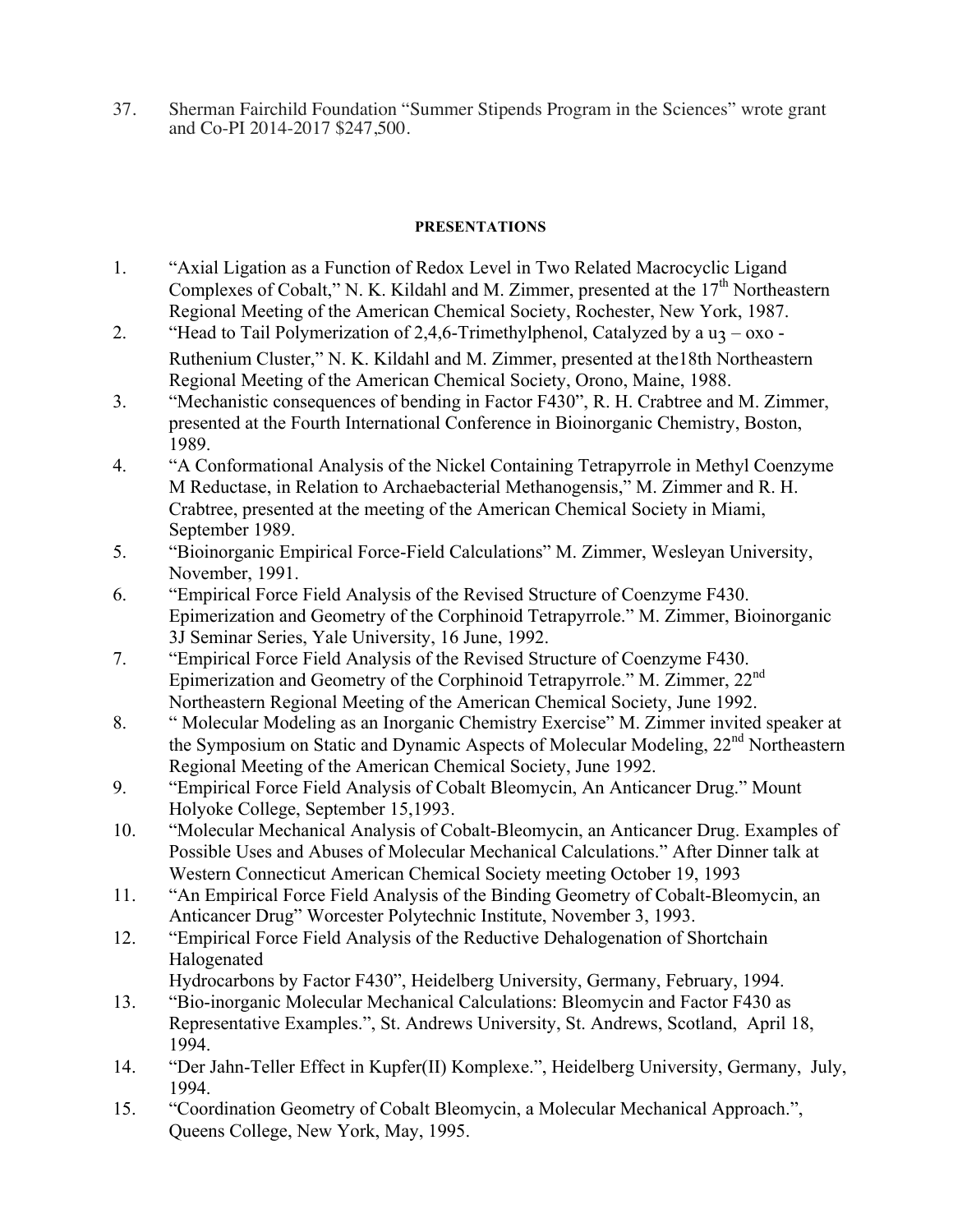37. Sherman Fairchild Foundation "Summer Stipends Program in the Sciences" wrote grant and Co-PI 2014-2017 \$247,500.

# **PRESENTATIONS**

- 1. "Axial Ligation as a Function of Redox Level in Two Related Macrocyclic Ligand Complexes of Cobalt," N. K. Kildahl and M. Zimmer, presented at the  $17<sup>th</sup>$  Northeastern Regional Meeting of the American Chemical Society, Rochester, New York, 1987.
- 2. "Head to Tail Polymerization of 2,4,6-Trimethylphenol, Catalyzed by a  $u_3 \alpha x_0$  -Ruthenium Cluster," N. K. Kildahl and M. Zimmer, presented at the18th Northeastern Regional Meeting of the American Chemical Society, Orono, Maine, 1988.
- 3. "Mechanistic consequences of bending in Factor F430", R. H. Crabtree and M. Zimmer, presented at the Fourth International Conference in Bioinorganic Chemistry, Boston, 1989.
- 4. "A Conformational Analysis of the Nickel Containing Tetrapyrrole in Methyl Coenzyme M Reductase, in Relation to Archaebacterial Methanogensis," M. Zimmer and R. H. Crabtree, presented at the meeting of the American Chemical Society in Miami, September 1989.
- 5. "Bioinorganic Empirical Force-Field Calculations" M. Zimmer, Wesleyan University, November, 1991.
- 6. "Empirical Force Field Analysis of the Revised Structure of Coenzyme F430. Epimerization and Geometry of the Corphinoid Tetrapyrrole." M. Zimmer, Bioinorganic 3J Seminar Series, Yale University, 16 June, 1992.
- 7. "Empirical Force Field Analysis of the Revised Structure of Coenzyme F430. Epimerization and Geometry of the Corphinoid Tetrapyrrole." M. Zimmer, 22nd Northeastern Regional Meeting of the American Chemical Society, June 1992.
- 8. " Molecular Modeling as an Inorganic Chemistry Exercise" M. Zimmer invited speaker at the Symposium on Static and Dynamic Aspects of Molecular Modeling, 22nd Northeastern Regional Meeting of the American Chemical Society, June 1992.
- 9. "Empirical Force Field Analysis of Cobalt Bleomycin, An Anticancer Drug." Mount Holyoke College, September 15,1993.
- 10. "Molecular Mechanical Analysis of Cobalt-Bleomycin, an Anticancer Drug. Examples of Possible Uses and Abuses of Molecular Mechanical Calculations." After Dinner talk at Western Connecticut American Chemical Society meeting October 19, 1993
- 11. "An Empirical Force Field Analysis of the Binding Geometry of Cobalt-Bleomycin, an Anticancer Drug" Worcester Polytechnic Institute, November 3, 1993.
- 12. "Empirical Force Field Analysis of the Reductive Dehalogenation of Shortchain Halogenated
	- Hydrocarbons by Factor F430", Heidelberg University, Germany, February, 1994.
- 13. "Bio-inorganic Molecular Mechanical Calculations: Bleomycin and Factor F430 as Representative Examples.", St. Andrews University, St. Andrews, Scotland, April 18, 1994.
- 14. "Der Jahn-Teller Effect in Kupfer(II) Komplexe.", Heidelberg University, Germany, July, 1994.
- 15. "Coordination Geometry of Cobalt Bleomycin, a Molecular Mechanical Approach.", Queens College, New York, May, 1995.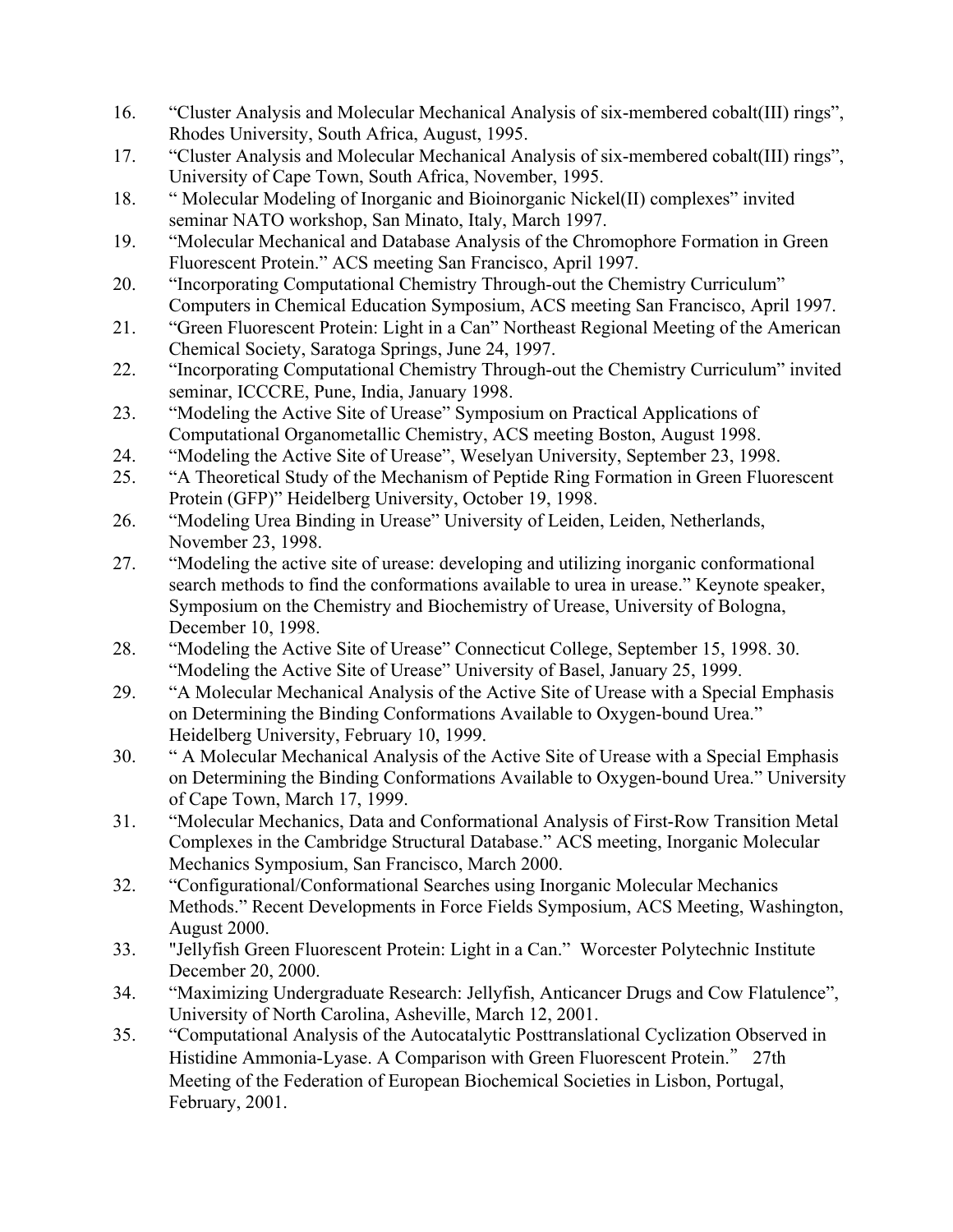- 16. "Cluster Analysis and Molecular Mechanical Analysis of six-membered cobalt(III) rings", Rhodes University, South Africa, August, 1995.
- 17. "Cluster Analysis and Molecular Mechanical Analysis of six-membered cobalt(III) rings", University of Cape Town, South Africa, November, 1995.
- 18. " Molecular Modeling of Inorganic and Bioinorganic Nickel(II) complexes" invited seminar NATO workshop, San Minato, Italy, March 1997.
- 19. "Molecular Mechanical and Database Analysis of the Chromophore Formation in Green Fluorescent Protein." ACS meeting San Francisco, April 1997.
- 20. "Incorporating Computational Chemistry Through-out the Chemistry Curriculum" Computers in Chemical Education Symposium, ACS meeting San Francisco, April 1997.
- 21. "Green Fluorescent Protein: Light in a Can" Northeast Regional Meeting of the American Chemical Society, Saratoga Springs, June 24, 1997.
- 22. "Incorporating Computational Chemistry Through-out the Chemistry Curriculum" invited seminar, ICCCRE, Pune, India, January 1998.
- 23. "Modeling the Active Site of Urease" Symposium on Practical Applications of Computational Organometallic Chemistry, ACS meeting Boston, August 1998.
- 24. "Modeling the Active Site of Urease", Weselyan University, September 23, 1998.
- 25. "A Theoretical Study of the Mechanism of Peptide Ring Formation in Green Fluorescent Protein (GFP)" Heidelberg University, October 19, 1998.
- 26. "Modeling Urea Binding in Urease" University of Leiden, Leiden, Netherlands, November 23, 1998.
- 27. "Modeling the active site of urease: developing and utilizing inorganic conformational search methods to find the conformations available to urea in urease." Keynote speaker, Symposium on the Chemistry and Biochemistry of Urease, University of Bologna, December 10, 1998.
- 28. "Modeling the Active Site of Urease" Connecticut College, September 15, 1998. 30. "Modeling the Active Site of Urease" University of Basel, January 25, 1999.
- 29. "A Molecular Mechanical Analysis of the Active Site of Urease with a Special Emphasis on Determining the Binding Conformations Available to Oxygen-bound Urea." Heidelberg University, February 10, 1999.
- 30. " A Molecular Mechanical Analysis of the Active Site of Urease with a Special Emphasis on Determining the Binding Conformations Available to Oxygen-bound Urea." University of Cape Town, March 17, 1999.
- 31. "Molecular Mechanics, Data and Conformational Analysis of First-Row Transition Metal Complexes in the Cambridge Structural Database." ACS meeting, Inorganic Molecular Mechanics Symposium, San Francisco, March 2000.
- 32. "Configurational/Conformational Searches using Inorganic Molecular Mechanics Methods." Recent Developments in Force Fields Symposium, ACS Meeting, Washington, August 2000.
- 33. "Jellyfish Green Fluorescent Protein: Light in a Can." Worcester Polytechnic Institute December 20, 2000.
- 34. "Maximizing Undergraduate Research: Jellyfish, Anticancer Drugs and Cow Flatulence", University of North Carolina, Asheville, March 12, 2001.
- 35. "Computational Analysis of the Autocatalytic Posttranslational Cyclization Observed in Histidine Ammonia-Lyase. A Comparison with Green Fluorescent Protein." 27th Meeting of the Federation of European Biochemical Societies in Lisbon, Portugal, February, 2001.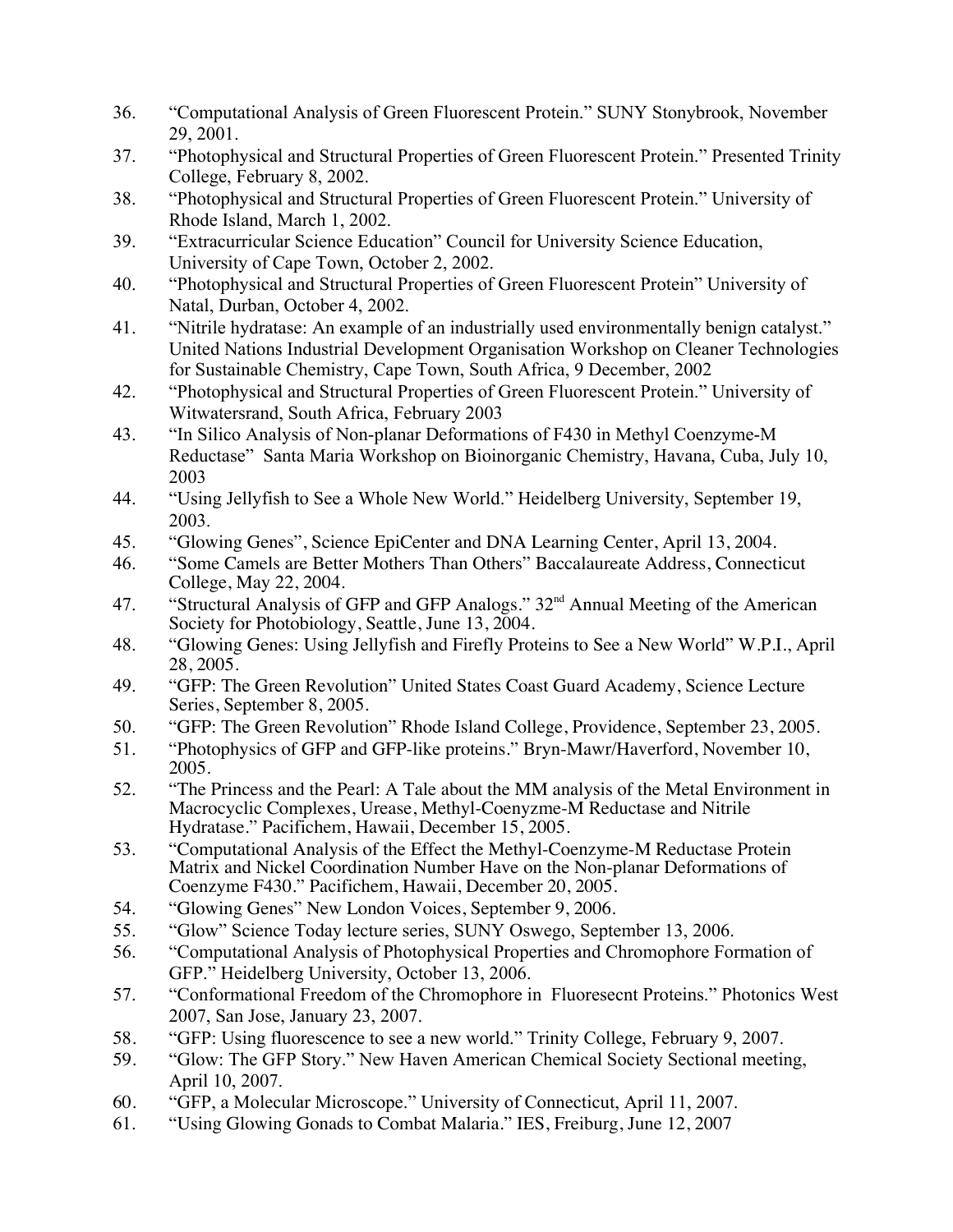- 36. "Computational Analysis of Green Fluorescent Protein." SUNY Stonybrook, November 29, 2001.
- 37. "Photophysical and Structural Properties of Green Fluorescent Protein." Presented Trinity College, February 8, 2002.
- 38. "Photophysical and Structural Properties of Green Fluorescent Protein." University of Rhode Island, March 1, 2002.
- 39. "Extracurricular Science Education" Council for University Science Education, University of Cape Town, October 2, 2002.
- 40. "Photophysical and Structural Properties of Green Fluorescent Protein" University of Natal, Durban, October 4, 2002.
- 41. "Nitrile hydratase: An example of an industrially used environmentally benign catalyst." United Nations Industrial Development Organisation Workshop on Cleaner Technologies for Sustainable Chemistry, Cape Town, South Africa, 9 December, 2002
- 42. "Photophysical and Structural Properties of Green Fluorescent Protein." University of Witwatersrand, South Africa, February 2003
- 43. "In Silico Analysis of Non-planar Deformations of F430 in Methyl Coenzyme-M Reductase" Santa Maria Workshop on Bioinorganic Chemistry, Havana, Cuba, July 10, 2003
- 44. "Using Jellyfish to See a Whole New World." Heidelberg University, September 19, 2003.
- 45. "Glowing Genes", Science EpiCenter and DNA Learning Center, April 13, 2004.
- 46. "Some Camels are Better Mothers Than Others" Baccalaureate Address, Connecticut College, May 22, 2004.
- 47. "Structural Analysis of GFP and GFP Analogs."  $32<sup>nd</sup>$  Annual Meeting of the American Society for Photobiology, Seattle, June 13, 2004.
- 48. "Glowing Genes: Using Jellyfish and Firefly Proteins to See a New World" W.P.I., April 28, 2005.
- 49. "GFP: The Green Revolution" United States Coast Guard Academy, Science Lecture Series, September 8, 2005.
- 50. "GFP: The Green Revolution" Rhode Island College, Providence, September 23, 2005.
- 51. "Photophysics of GFP and GFP-like proteins." Bryn-Mawr/Haverford, November 10, 2005.
- 52. "The Princess and the Pearl: A Tale about the MM analysis of the Metal Environment in Macrocyclic Complexes, Urease, Methyl-Coenyzme-M Reductase and Nitrile Hydratase." Pacifichem, Hawaii, December 15, 2005.
- 53. "Computational Analysis of the Effect the Methyl-Coenzyme-M Reductase Protein Matrix and Nickel Coordination Number Have on the Non-planar Deformations of Coenzyme F430." Pacifichem, Hawaii, December 20, 2005.
- 54. "Glowing Genes" New London Voices, September 9, 2006.
- 55. "Glow" Science Today lecture series, SUNY Oswego, September 13, 2006.
- 56. "Computational Analysis of Photophysical Properties and Chromophore Formation of GFP." Heidelberg University, October 13, 2006.
- 57. "Conformational Freedom of the Chromophore in Fluoresecnt Proteins." Photonics West 2007, San Jose, January 23, 2007.
- 58. "GFP: Using fluorescence to see a new world." Trinity College, February 9, 2007.
- 59. "Glow: The GFP Story." New Haven American Chemical Society Sectional meeting, April 10, 2007.
- 60. "GFP, a Molecular Microscope." University of Connecticut, April 11, 2007.
- 61. "Using Glowing Gonads to Combat Malaria." IES, Freiburg, June 12, 2007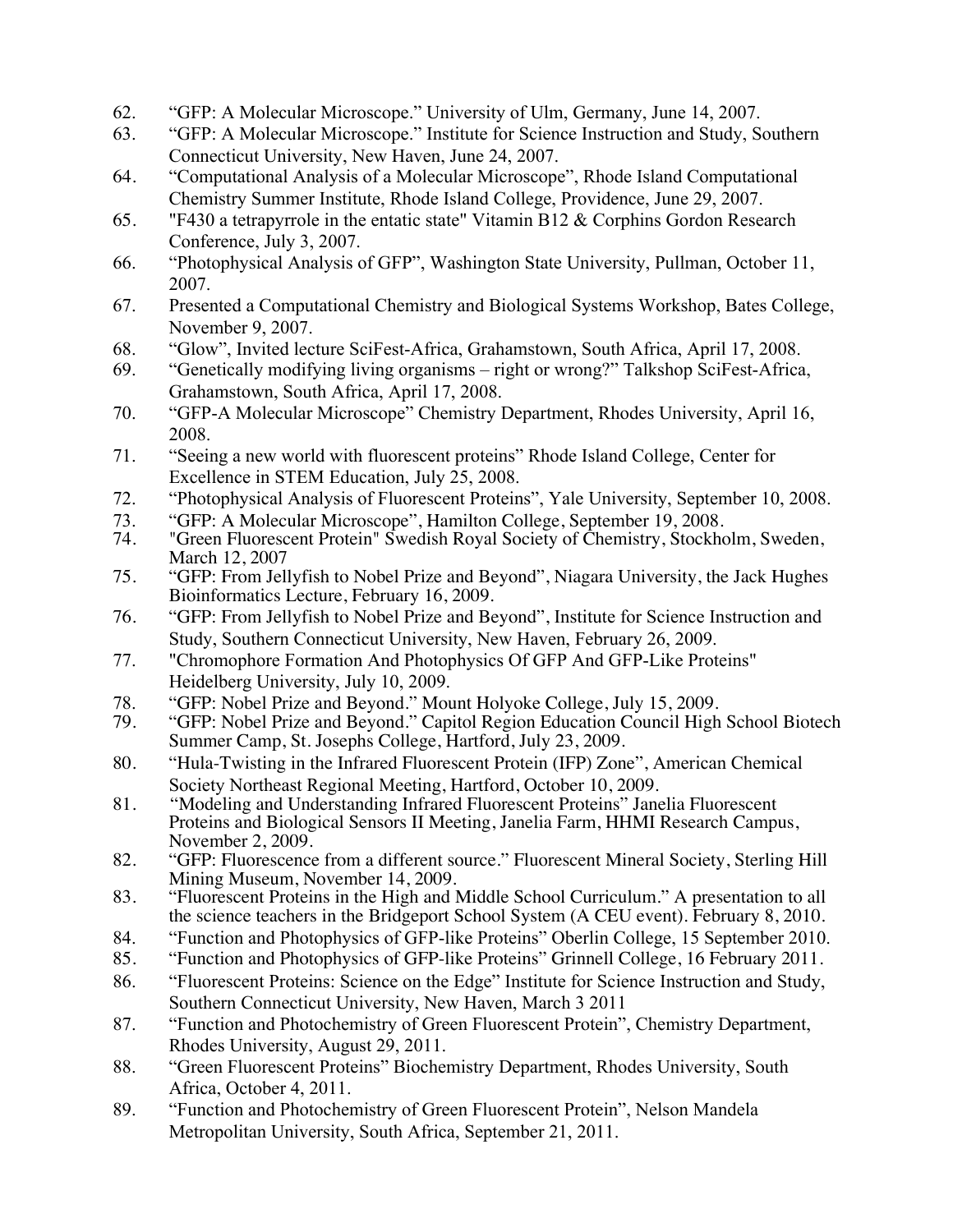- 62. "GFP: A Molecular Microscope." University of Ulm, Germany, June 14, 2007.
- 63. "GFP: A Molecular Microscope." Institute for Science Instruction and Study, Southern Connecticut University, New Haven, June 24, 2007.
- 64. "Computational Analysis of a Molecular Microscope", Rhode Island Computational Chemistry Summer Institute, Rhode Island College, Providence, June 29, 2007.
- 65. "F430 a tetrapyrrole in the entatic state" Vitamin B12 & Corphins Gordon Research Conference, July 3, 2007.
- 66. "Photophysical Analysis of GFP", Washington State University, Pullman, October 11, 2007.
- 67. Presented a Computational Chemistry and Biological Systems Workshop, Bates College, November 9, 2007.
- 68. "Glow", Invited lecture SciFest-Africa, Grahamstown, South Africa, April 17, 2008.
- 69. "Genetically modifying living organisms right or wrong?" Talkshop SciFest-Africa, Grahamstown, South Africa, April 17, 2008.
- 70. "GFP-A Molecular Microscope" Chemistry Department, Rhodes University, April 16, 2008.
- 71. "Seeing a new world with fluorescent proteins" Rhode Island College, Center for Excellence in STEM Education, July 25, 2008.
- 72. "Photophysical Analysis of Fluorescent Proteins", Yale University, September 10, 2008.
- 73. "GFP: A Molecular Microscope", Hamilton College, September 19, 2008.<br>74. "Green Fluorescent Protein" Swedish Roval Society of Chemistry, Stockho
- "Green Fluorescent Protein" Swedish Royal Society of Chemistry, Stockholm, Sweden, March 12, 2007
- 75. "GFP: From Jellyfish to Nobel Prize and Beyond", Niagara University, the Jack Hughes Bioinformatics Lecture, February 16, 2009.
- 76. "GFP: From Jellyfish to Nobel Prize and Beyond", Institute for Science Instruction and Study, Southern Connecticut University, New Haven, February 26, 2009.
- 77. "Chromophore Formation And Photophysics Of GFP And GFP-Like Proteins" Heidelberg University, July 10, 2009.
- 78. "GFP: Nobel Prize and Beyond." Mount Holyoke College, July 15, 2009.<br>79. "GFP: Nobel Prize and Beyond." Capitol Region Education Council High
- "GFP: Nobel Prize and Beyond." Capitol Region Education Council High School Biotech Summer Camp, St. Josephs College, Hartford, July 23, 2009.
- 80. "Hula-Twisting in the Infrared Fluorescent Protein (IFP) Zone", American Chemical Society Northeast Regional Meeting, Hartford, October 10, 2009.
- 81. "Modeling and Understanding Infrared Fluorescent Proteins" Janelia Fluorescent Proteins and Biological Sensors II Meeting, Janelia Farm, HHMI Research Campus, November 2, 2009.
- 82. "GFP: Fluorescence from a different source." Fluorescent Mineral Society, Sterling Hill Mining Museum, November 14, 2009.
- 83. "Fluorescent Proteins in the High and Middle School Curriculum." A presentation to all the science teachers in the Bridgeport School System (A CEU event). February 8, 2010.
- 84. "Function and Photophysics of GFP-like Proteins" Oberlin College, 15 September 2010.
- 85. "Function and Photophysics of GFP-like Proteins" Grinnell College, 16 February 2011.
- 86. "Fluorescent Proteins: Science on the Edge" Institute for Science Instruction and Study, Southern Connecticut University, New Haven, March 3 2011
- 87. "Function and Photochemistry of Green Fluorescent Protein", Chemistry Department, Rhodes University, August 29, 2011.
- 88. "Green Fluorescent Proteins" Biochemistry Department, Rhodes University, South Africa, October 4, 2011.
- 89. "Function and Photochemistry of Green Fluorescent Protein", Nelson Mandela Metropolitan University, South Africa, September 21, 2011.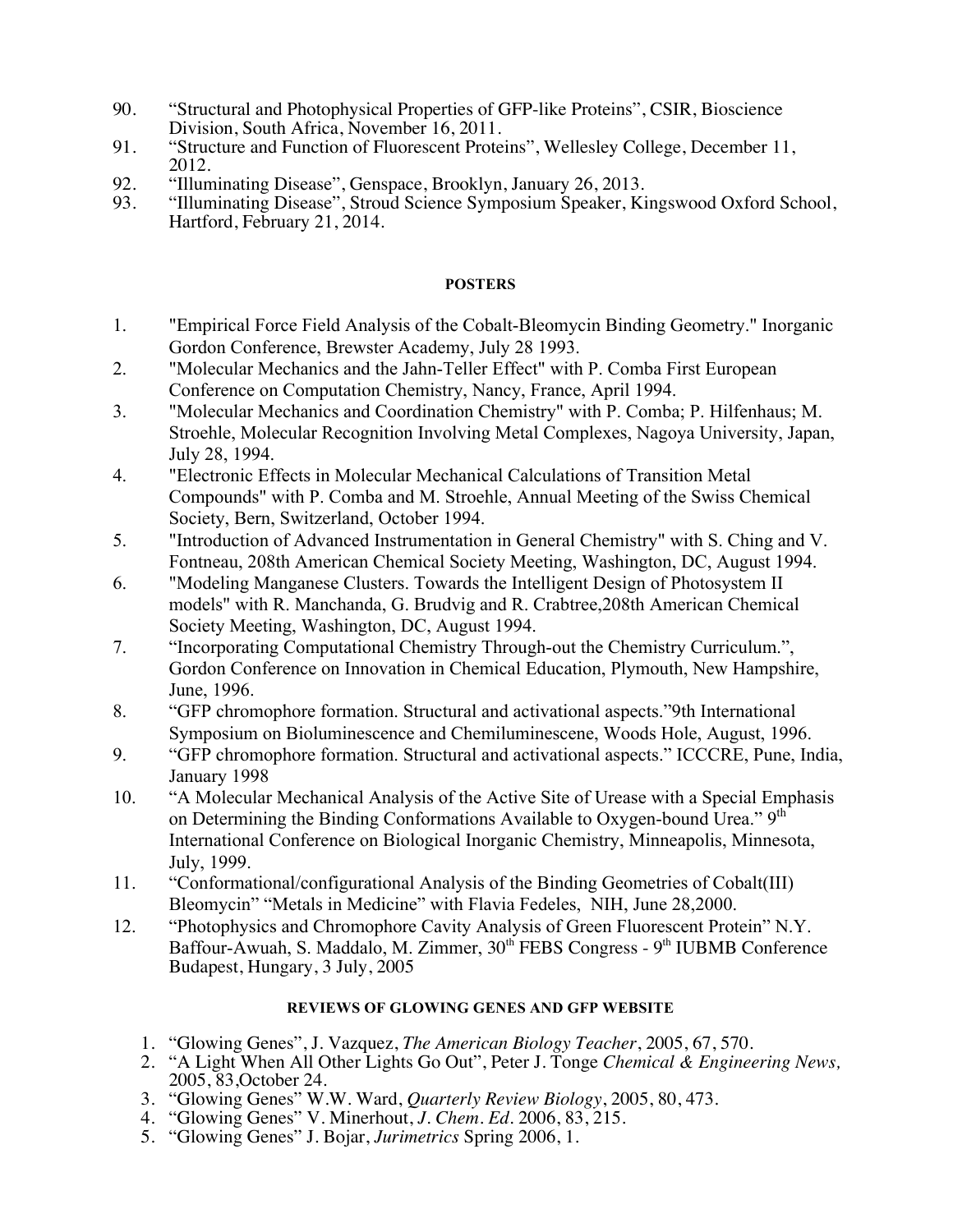- 90. "Structural and Photophysical Properties of GFP-like Proteins", CSIR, Bioscience Division, South Africa, November 16, 2011.
- 91. "Structure and Function of Fluorescent Proteins", Wellesley College, December 11, 2012.
- 92. "Illuminating Disease", Genspace, Brooklyn, January 26, 2013.<br>93. "Illuminating Disease". Stroud Science Symposium Speaker. Ki
- 93. "Illuminating Disease", Stroud Science Symposium Speaker, Kingswood Oxford School, Hartford, February 21, 2014.

### **POSTERS**

- 1. "Empirical Force Field Analysis of the Cobalt-Bleomycin Binding Geometry." Inorganic Gordon Conference, Brewster Academy, July 28 1993.
- 2. "Molecular Mechanics and the Jahn-Teller Effect" with P. Comba First European Conference on Computation Chemistry, Nancy, France, April 1994.
- 3. "Molecular Mechanics and Coordination Chemistry" with P. Comba; P. Hilfenhaus; M. Stroehle, Molecular Recognition Involving Metal Complexes, Nagoya University, Japan, July 28, 1994.
- 4. "Electronic Effects in Molecular Mechanical Calculations of Transition Metal Compounds" with P. Comba and M. Stroehle, Annual Meeting of the Swiss Chemical Society, Bern, Switzerland, October 1994.
- 5. "Introduction of Advanced Instrumentation in General Chemistry" with S. Ching and V. Fontneau, 208th American Chemical Society Meeting, Washington, DC, August 1994.
- 6. "Modeling Manganese Clusters. Towards the Intelligent Design of Photosystem II models" with R. Manchanda, G. Brudvig and R. Crabtree,208th American Chemical Society Meeting, Washington, DC, August 1994.
- 7. "Incorporating Computational Chemistry Through-out the Chemistry Curriculum.", Gordon Conference on Innovation in Chemical Education, Plymouth, New Hampshire, June, 1996.
- 8. "GFP chromophore formation. Structural and activational aspects."9th International Symposium on Bioluminescence and Chemiluminescene, Woods Hole, August, 1996.
- 9. "GFP chromophore formation. Structural and activational aspects." ICCCRE, Pune, India, January 1998
- 10. "A Molecular Mechanical Analysis of the Active Site of Urease with a Special Emphasis on Determining the Binding Conformations Available to Oxygen-bound Urea." 9<sup>th</sup> International Conference on Biological Inorganic Chemistry, Minneapolis, Minnesota, July, 1999.
- 11. "Conformational/configurational Analysis of the Binding Geometries of Cobalt(III) Bleomycin" "Metals in Medicine" with Flavia Fedeles, NIH, June 28,2000.
- 12. "Photophysics and Chromophore Cavity Analysis of Green Fluorescent Protein" N.Y. Baffour-Awuah, S. Maddalo, M. Zimmer, 30<sup>th</sup> FEBS Congress - 9<sup>th</sup> IUBMB Conference Budapest, Hungary, 3 July, 2005

## **REVIEWS OF GLOWING GENES AND GFP WEBSITE**

- 1. "Glowing Genes", J. Vazquez, *The American Biology Teacher*, 2005, 67, 570.
- 2. "A Light When All Other Lights Go Out", Peter J. Tonge *Chemical & Engineering News*,<br>2005. 83. October 24.
- 2005, 83,October 24. 3. "Glowing Genes" W.W. Ward, *Quarterly Review Biology*, 2005, 80, 473.
- 4. "Glowing Genes" V. Minerhout, *J. Chem. Ed.* 2006, 83, 215.
- 5. "Glowing Genes" J. Bojar, *Jurimetrics* Spring 2006, 1.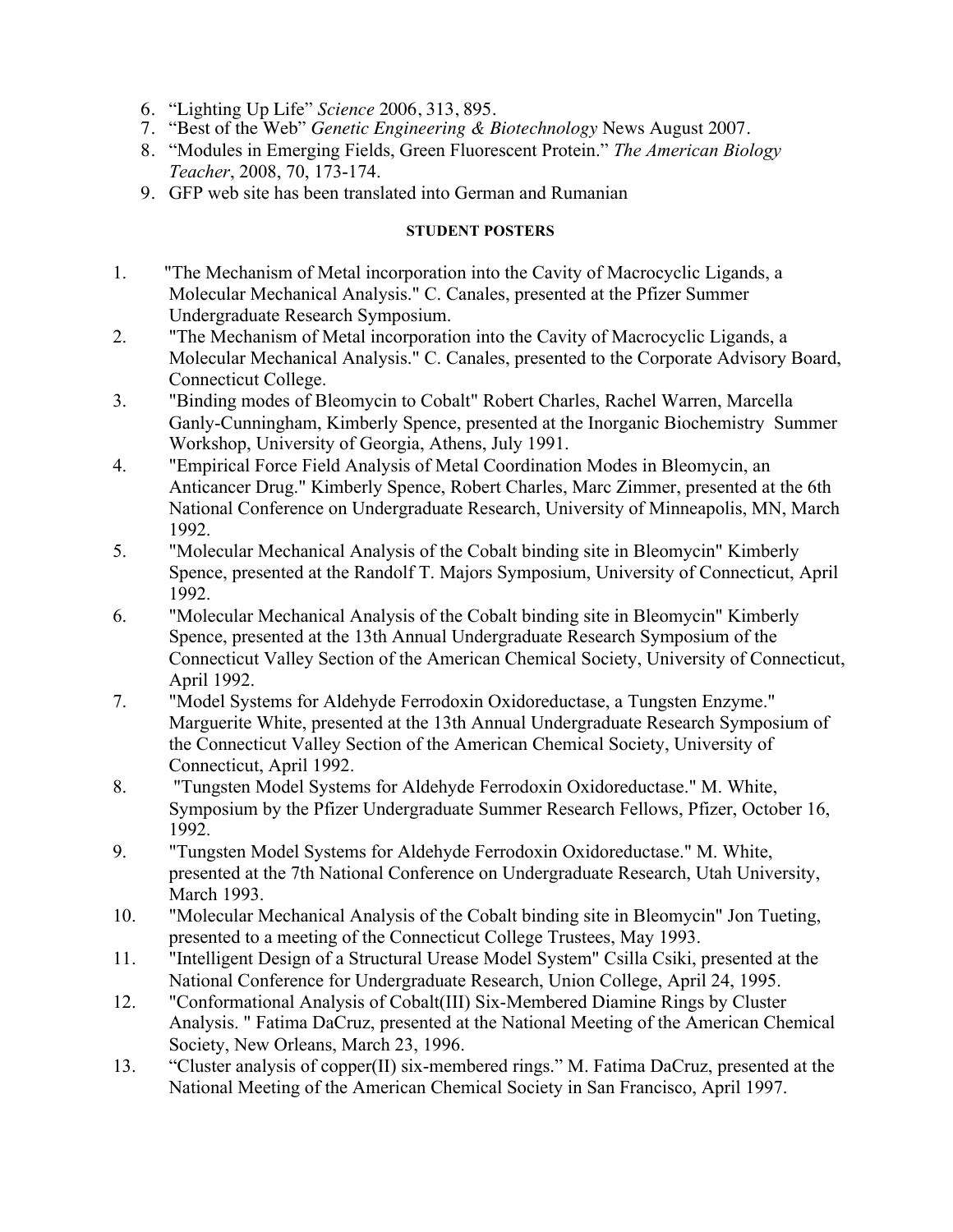- 6. "Lighting Up Life" *Science* 2006, 313, 895.
- 7. "Best of the Web" *Genetic Engineering & Biotechnology* News August 2007.
- 8. "Modules in Emerging Fields, Green Fluorescent Protein." *The American Biology Teacher*, 2008, 70, 173-174.
- 9. GFP web site has been translated into German and Rumanian

# **STUDENT POSTERS**

- 1. "The Mechanism of Metal incorporation into the Cavity of Macrocyclic Ligands, a Molecular Mechanical Analysis." C. Canales, presented at the Pfizer Summer Undergraduate Research Symposium.
- 2. "The Mechanism of Metal incorporation into the Cavity of Macrocyclic Ligands, a Molecular Mechanical Analysis." C. Canales, presented to the Corporate Advisory Board, Connecticut College.
- 3. "Binding modes of Bleomycin to Cobalt" Robert Charles, Rachel Warren, Marcella Ganly-Cunningham, Kimberly Spence, presented at the Inorganic Biochemistry Summer Workshop, University of Georgia, Athens, July 1991.
- 4. "Empirical Force Field Analysis of Metal Coordination Modes in Bleomycin, an Anticancer Drug." Kimberly Spence, Robert Charles, Marc Zimmer, presented at the 6th National Conference on Undergraduate Research, University of Minneapolis, MN, March 1992.
- 5. "Molecular Mechanical Analysis of the Cobalt binding site in Bleomycin" Kimberly Spence, presented at the Randolf T. Majors Symposium, University of Connecticut, April 1992.
- 6. "Molecular Mechanical Analysis of the Cobalt binding site in Bleomycin" Kimberly Spence, presented at the 13th Annual Undergraduate Research Symposium of the Connecticut Valley Section of the American Chemical Society, University of Connecticut, April 1992.
- 7. "Model Systems for Aldehyde Ferrodoxin Oxidoreductase, a Tungsten Enzyme." Marguerite White, presented at the 13th Annual Undergraduate Research Symposium of the Connecticut Valley Section of the American Chemical Society, University of Connecticut, April 1992.
- 8. "Tungsten Model Systems for Aldehyde Ferrodoxin Oxidoreductase." M. White, Symposium by the Pfizer Undergraduate Summer Research Fellows, Pfizer, October 16, 1992.
- 9. "Tungsten Model Systems for Aldehyde Ferrodoxin Oxidoreductase." M. White, presented at the 7th National Conference on Undergraduate Research, Utah University, March 1993.
- 10. "Molecular Mechanical Analysis of the Cobalt binding site in Bleomycin" Jon Tueting, presented to a meeting of the Connecticut College Trustees, May 1993.
- 11. "Intelligent Design of a Structural Urease Model System" Csilla Csiki, presented at the National Conference for Undergraduate Research, Union College, April 24, 1995.
- 12. "Conformational Analysis of Cobalt(III) Six-Membered Diamine Rings by Cluster Analysis. " Fatima DaCruz, presented at the National Meeting of the American Chemical Society, New Orleans, March 23, 1996.
- 13. "Cluster analysis of copper(II) six-membered rings." M. Fatima DaCruz, presented at the National Meeting of the American Chemical Society in San Francisco, April 1997.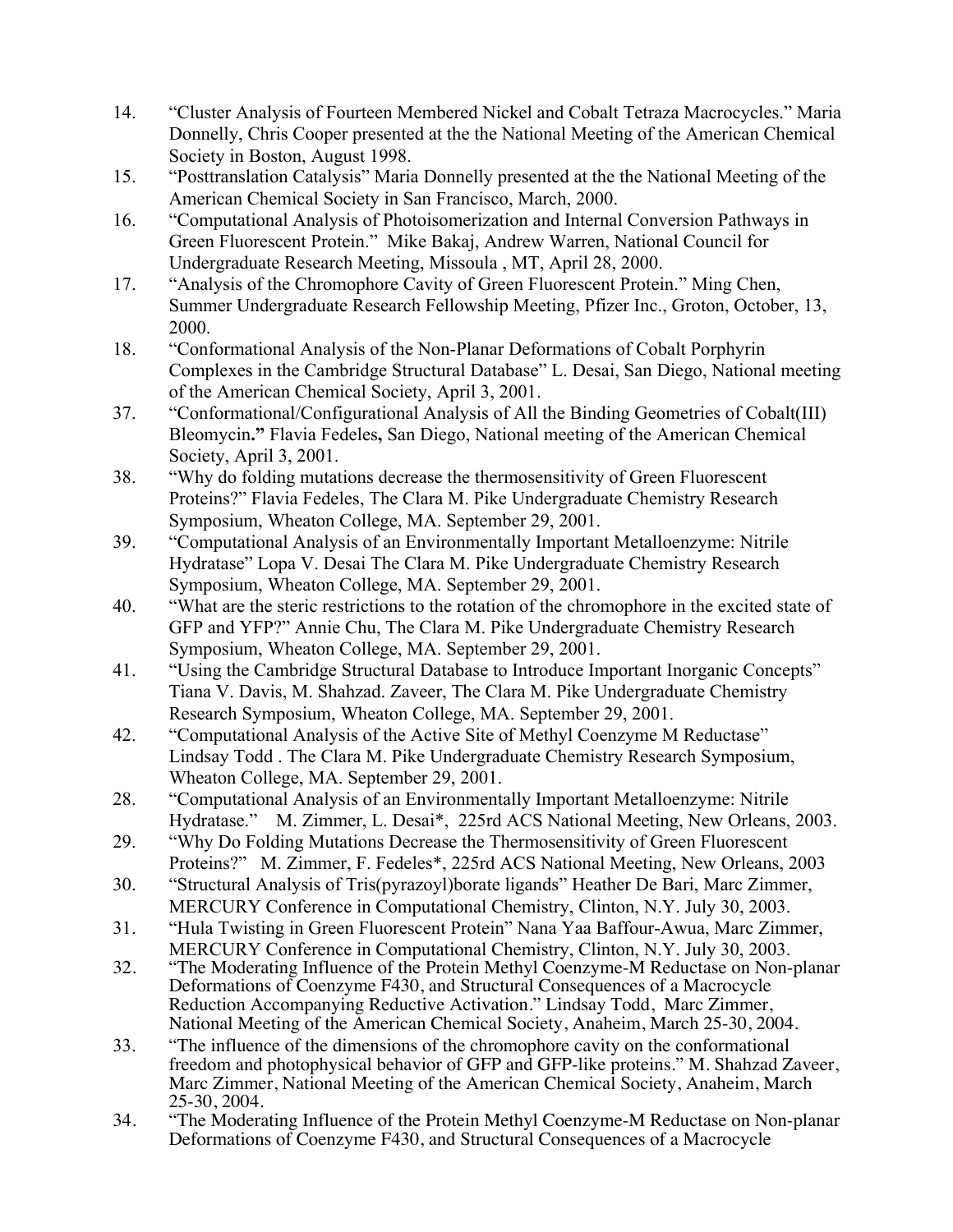- 14. "Cluster Analysis of Fourteen Membered Nickel and Cobalt Tetraza Macrocycles." Maria Donnelly, Chris Cooper presented at the the National Meeting of the American Chemical Society in Boston, August 1998.
- 15. "Posttranslation Catalysis" Maria Donnelly presented at the the National Meeting of the American Chemical Society in San Francisco, March, 2000.
- 16. "Computational Analysis of Photoisomerization and Internal Conversion Pathways in Green Fluorescent Protein." Mike Bakaj, Andrew Warren, National Council for Undergraduate Research Meeting, Missoula , MT, April 28, 2000.
- 17. "Analysis of the Chromophore Cavity of Green Fluorescent Protein." Ming Chen, Summer Undergraduate Research Fellowship Meeting, Pfizer Inc., Groton, October, 13, 2000.
- 18. "Conformational Analysis of the Non-Planar Deformations of Cobalt Porphyrin Complexes in the Cambridge Structural Database" L. Desai, San Diego, National meeting of the American Chemical Society, April 3, 2001.
- 37. "Conformational/Configurational Analysis of All the Binding Geometries of Cobalt(III) Bleomycin**."** Flavia Fedeles**,** San Diego, National meeting of the American Chemical Society, April 3, 2001.
- 38. "Why do folding mutations decrease the thermosensitivity of Green Fluorescent Proteins?" Flavia Fedeles, The Clara M. Pike Undergraduate Chemistry Research Symposium, Wheaton College, MA. September 29, 2001.
- 39. "Computational Analysis of an Environmentally Important Metalloenzyme: Nitrile Hydratase" Lopa V. Desai The Clara M. Pike Undergraduate Chemistry Research Symposium, Wheaton College, MA. September 29, 2001.
- 40. "What are the steric restrictions to the rotation of the chromophore in the excited state of GFP and YFP?" Annie Chu, The Clara M. Pike Undergraduate Chemistry Research Symposium, Wheaton College, MA. September 29, 2001.
- 41. "Using the Cambridge Structural Database to Introduce Important Inorganic Concepts" Tiana V. Davis, M. Shahzad. Zaveer, The Clara M. Pike Undergraduate Chemistry Research Symposium, Wheaton College, MA. September 29, 2001.
- 42. "Computational Analysis of the Active Site of Methyl Coenzyme M Reductase" Lindsay Todd . The Clara M. Pike Undergraduate Chemistry Research Symposium, Wheaton College, MA. September 29, 2001.
- 28. "Computational Analysis of an Environmentally Important Metalloenzyme: Nitrile Hydratase." M. Zimmer, L. Desai\*, 225rd ACS National Meeting, New Orleans, 2003.
- 29. "Why Do Folding Mutations Decrease the Thermosensitivity of Green Fluorescent Proteins?" M. Zimmer, F. Fedeles\*, 225rd ACS National Meeting, New Orleans, 2003
- 30. "Structural Analysis of Tris(pyrazoyl)borate ligands" Heather De Bari, Marc Zimmer, MERCURY Conference in Computational Chemistry, Clinton, N.Y. July 30, 2003.
- 31. "Hula Twisting in Green Fluorescent Protein" Nana Yaa Baffour-Awua, Marc Zimmer, MERCURY Conference in Computational Chemistry, Clinton, N.Y. July 30, 2003.
- 32. "The Moderating Influence of the Protein Methyl Coenzyme-M Reductase on Non-planar Deformations of Coenzyme F430, and Structural Consequences of a Macrocycle Reduction Accompanying Reductive Activation." Lindsay Todd, Marc Zimmer, National Meeting of the American Chemical Society, Anaheim, March 25-30, 2004.
- 33. "The influence of the dimensions of the chromophore cavity on the conformational freedom and photophysical behavior of GFP and GFP-like proteins." M. Shahzad Zaveer, Marc Zimmer, National Meeting of the American Chemical Society, Anaheim, March 25-30, 2004.
- 34. "The Moderating Influence of the Protein Methyl Coenzyme-M Reductase on Non-planar Deformations of Coenzyme F430, and Structural Consequences of a Macrocycle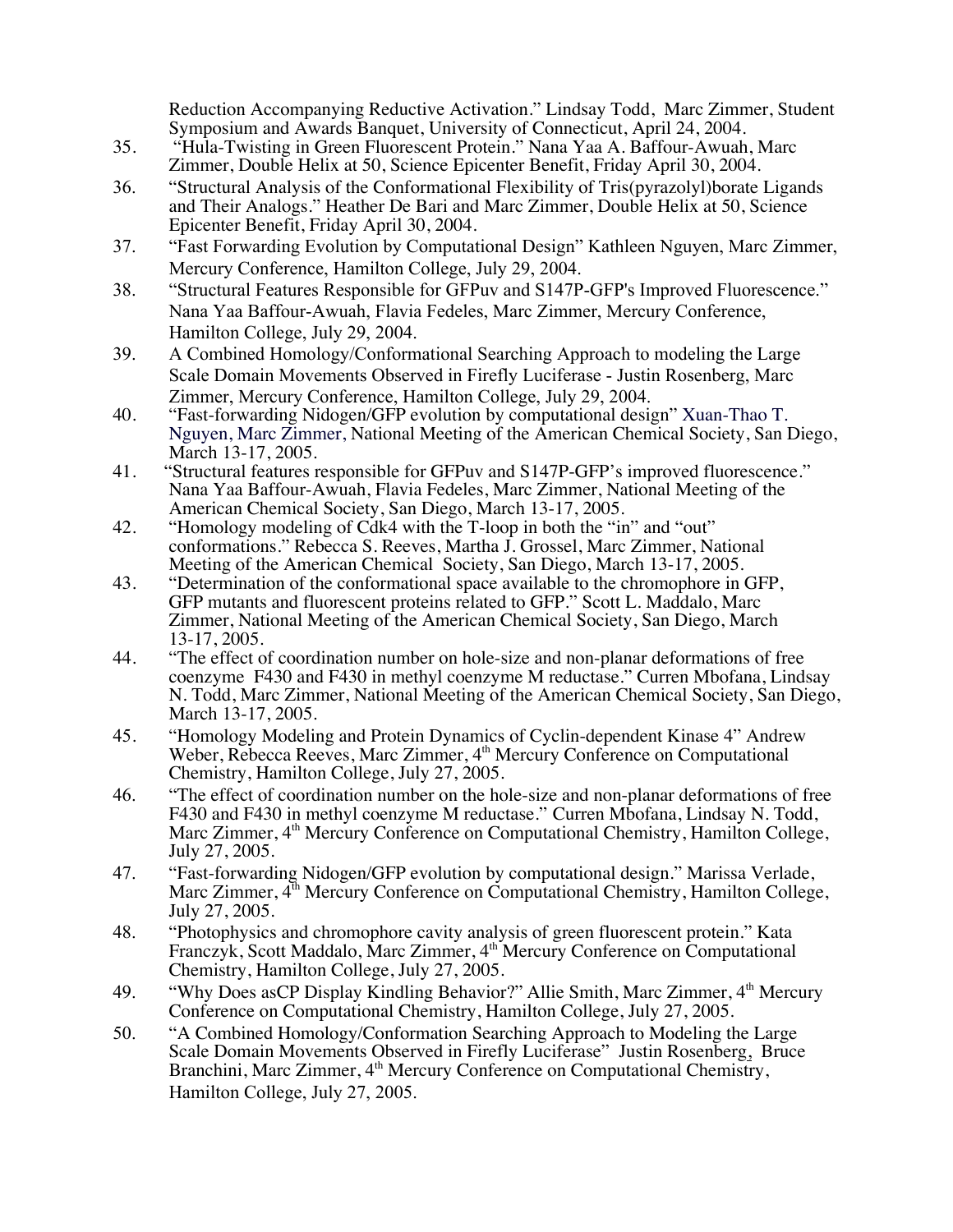Reduction Accompanying Reductive Activation." Lindsay Todd, Marc Zimmer, Student Symposium and Awards Banquet, University of Connecticut, April 24, 2004.

- 35. "Hula-Twisting in Green Fluorescent Protein." Nana Yaa A. Baffour-Awuah, Marc Zimmer, Double Helix at 50, Science Epicenter Benefit, Friday April 30, 2004.
- 36. "Structural Analysis of the Conformational Flexibility of Tris(pyrazolyl)borate Ligands and Their Analogs." Heather De Bari and Marc Zimmer, Double Helix at 50, Science Epicenter Benefit, Friday April 30, 2004.
- 37. "Fast Forwarding Evolution by Computational Design" Kathleen Nguyen, Marc Zimmer, Mercury Conference, Hamilton College, July 29, 2004.
- 38. "Structural Features Responsible for GFPuv and S147P-GFP's Improved Fluorescence." Nana Yaa Baffour-Awuah, Flavia Fedeles, Marc Zimmer, Mercury Conference, Hamilton College, July 29, 2004.
- 39. A Combined Homology/Conformational Searching Approach to modeling the Large Scale Domain Movements Observed in Firefly Luciferase - Justin Rosenberg, Marc Zimmer, Mercury Conference, Hamilton College, July 29, 2004.
- 40. "Fast-forwarding Nidogen/GFP evolution by computational design" Xuan-Thao T. Nguyen, Marc Zimmer, National Meeting of the American Chemical Society, San Diego, March 13-17, 2005.
- 41. "Structural features responsible for GFPuv and S147P-GFP's improved fluorescence." Nana Yaa Baffour-Awuah, Flavia Fedeles, Marc Zimmer, National Meeting of the American Chemical Society, San Diego, March 13-17, 2005.
- 42. "Homology modeling of Cdk4 with the T-loop in both the "in" and "out" conformations." Rebecca S. Reeves, Martha J. Grossel, Marc Zimmer, National Meeting of the American Chemical Society, San Diego, March 13-17, 2005.
- 43. "Determination of the conformational space available to the chromophore in GFP, GFP mutants and fluorescent proteins related to GFP." Scott L. Maddalo, Marc Zimmer, National Meeting of the American Chemical Society, San Diego, March 13-17, 2005.
- 44. "The effect of coordination number on hole-size and non-planar deformations of free coenzyme F430 and F430 in methyl coenzyme M reductase." Curren Mbofana, Lindsay N. Todd, Marc Zimmer, National Meeting of the American Chemical Society, San Diego, March 13-17, 2005.
- 45. "Homology Modeling and Protein Dynamics of Cyclin-dependent Kinase 4" Andrew Weber, Rebecca Reeves, Marc Zimmer, 4<sup>th</sup> Mercury Conference on Computational Chemistry, Hamilton College, July 27, 2005.
- 46. "The effect of coordination number on the hole-size and non-planar deformations of free F430 and F430 in methyl coenzyme M reductase." Curren Mbofana, Lindsay N. Todd, Marc Zimmer, 4<sup>th</sup> Mercury Conference on Computational Chemistry, Hamilton College, July 27, 2005.
- 47. "Fast-forwarding Nidogen/GFP evolution by computational design." Marissa Verlade, Marc Zimmer,  $4^{\text{th}}$  Mercury Conference on Computational Chemistry, Hamilton College, July 27, 2005.
- 48. "Photophysics and chromophore cavity analysis of green fluorescent protein." Kata Franczyk, Scott Maddalo, Marc Zimmer, 4<sup>th</sup> Mercury Conference on Computational Chemistry, Hamilton College, July 27, 2005.
- 49. "Why Does asCP Display Kindling Behavior?" Allie Smith, Marc Zimmer, 4<sup>th</sup> Mercury Conference on Computational Chemistry, Hamilton College, July 27, 2005.
- 50. "A Combined Homology/Conformation Searching Approach to Modeling the Large Scale Domain Movements Observed in Firefly Luciferase" Justin Rosenberg, Bruce Branchini, Marc Zimmer, 4<sup>th</sup> Mercury Conference on Computational Chemistry, Hamilton College, July 27, 2005.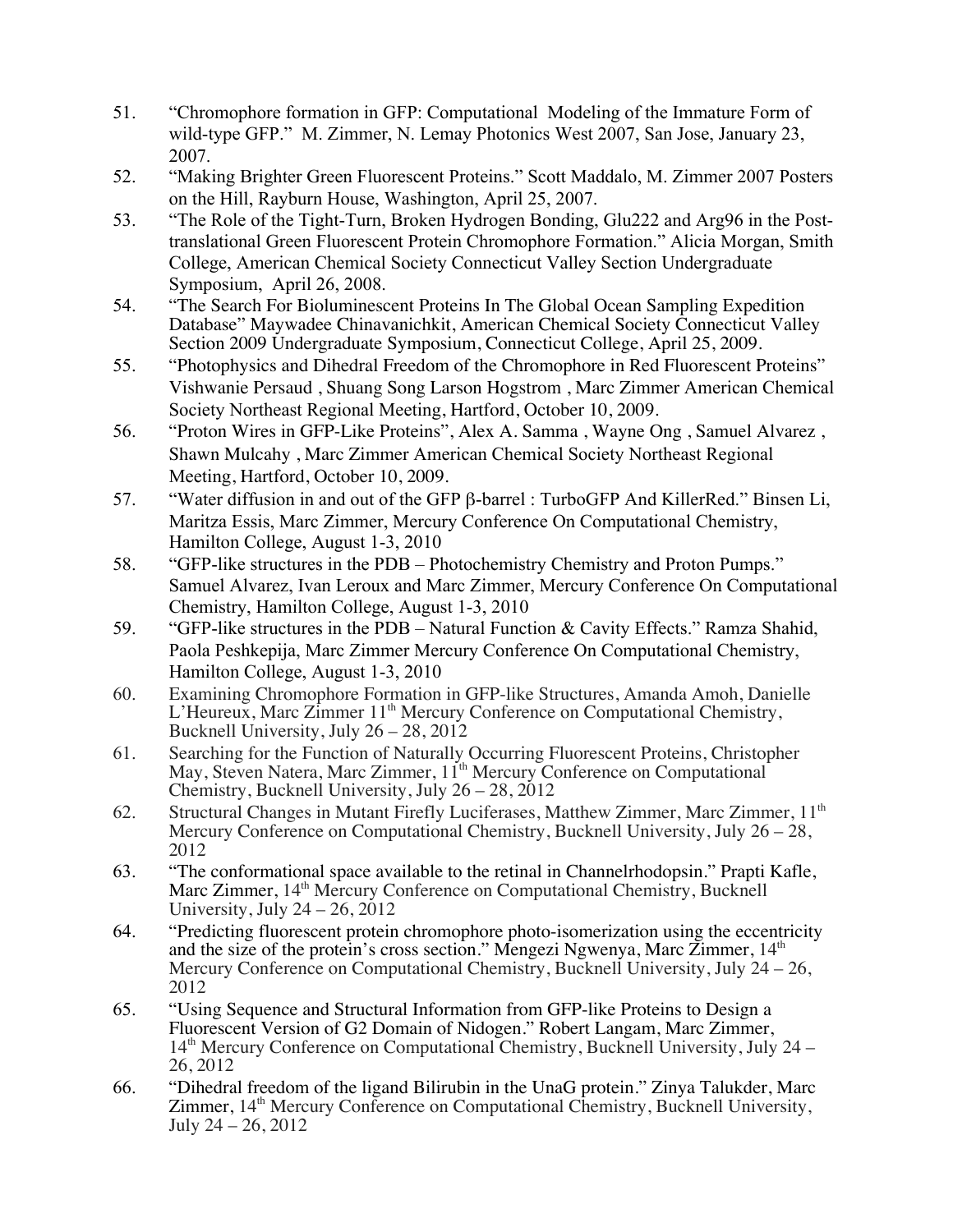- 51. "Chromophore formation in GFP: Computational Modeling of the Immature Form of wild-type GFP." M. Zimmer, N. Lemay Photonics West 2007, San Jose, January 23, 2007.
- 52. "Making Brighter Green Fluorescent Proteins." Scott Maddalo, M. Zimmer 2007 Posters on the Hill, Rayburn House, Washington, April 25, 2007.
- 53. "The Role of the Tight-Turn, Broken Hydrogen Bonding, Glu222 and Arg96 in the Posttranslational Green Fluorescent Protein Chromophore Formation." Alicia Morgan, Smith College, American Chemical Society Connecticut Valley Section Undergraduate Symposium, April 26, 2008.
- 54. "The Search For Bioluminescent Proteins In The Global Ocean Sampling Expedition Database" Maywadee Chinavanichkit, American Chemical Society Connecticut Valley Section 2009 Undergraduate Symposium, Connecticut College, April 25, 2009.
- 55. "Photophysics and Dihedral Freedom of the Chromophore in Red Fluorescent Proteins" Vishwanie Persaud , Shuang Song Larson Hogstrom , Marc Zimmer American Chemical Society Northeast Regional Meeting, Hartford, October 10, 2009.
- 56. "Proton Wires in GFP-Like Proteins", Alex A. Samma , Wayne Ong , Samuel Alvarez , Shawn Mulcahy , Marc Zimmer American Chemical Society Northeast Regional Meeting, Hartford, October 10, 2009.
- 57. "Water diffusion in and out of the GFP β-barrel : TurboGFP And KillerRed." Binsen Li, Maritza Essis, Marc Zimmer, Mercury Conference On Computational Chemistry, Hamilton College, August 1-3, 2010
- 58. "GFP-like structures in the PDB Photochemistry Chemistry and Proton Pumps." Samuel Alvarez, Ivan Leroux and Marc Zimmer, Mercury Conference On Computational Chemistry, Hamilton College, August 1-3, 2010
- 59. "GFP-like structures in the PDB Natural Function & Cavity Effects." Ramza Shahid, Paola Peshkepija, Marc Zimmer Mercury Conference On Computational Chemistry, Hamilton College, August 1-3, 2010
- 60. Examining Chromophore Formation in GFP-like Structures, Amanda Amoh, Danielle L'Heureux, Marc Zimmer 11<sup>th</sup> Mercury Conference on Computational Chemistry, Bucknell University, July 26 – 28, 2012
- 61. Searching for the Function of Naturally Occurring Fluorescent Proteins, Christopher May, Steven Natera, Marc Zimmer, 11<sup>th</sup> Mercury Conference on Computational Chemistry, Bucknell University, July 26 – 28, 2012
- 62. Structural Changes in Mutant Firefly Luciferases, Matthew Zimmer, Marc Zimmer, 11<sup>th</sup> Mercury Conference on Computational Chemistry, Bucknell University, July 26 – 28, 2012
- 63. "The conformational space available to the retinal in Channelrhodopsin." Prapti Kafle, Marc Zimmer, 14<sup>th</sup> Mercury Conference on Computational Chemistry, Bucknell University, July  $24 - 26$ ,  $2012$
- 64. "Predicting fluorescent protein chromophore photo-isomerization using the eccentricity and the size of the protein's cross section." Mengezi Ngwenya, Marc Zimmer,  $14<sup>th</sup>$ Mercury Conference on Computational Chemistry, Bucknell University, July 24 – 26, 2012
- 65. "Using Sequence and Structural Information from GFP-like Proteins to Design a Fluorescent Version of G2 Domain of Nidogen." Robert Langam, Marc Zimmer,  $14<sup>th</sup>$  Mercury Conference on Computational Chemistry, Bucknell University, July 24 – 26, 2012
- 66. "Dihedral freedom of the ligand Bilirubin in the UnaG protein." Zinya Talukder, Marc  $Zimmer$ ,  $14<sup>th</sup>$  Mercury Conference on Computational Chemistry, Bucknell University, July 24 – 26, 2012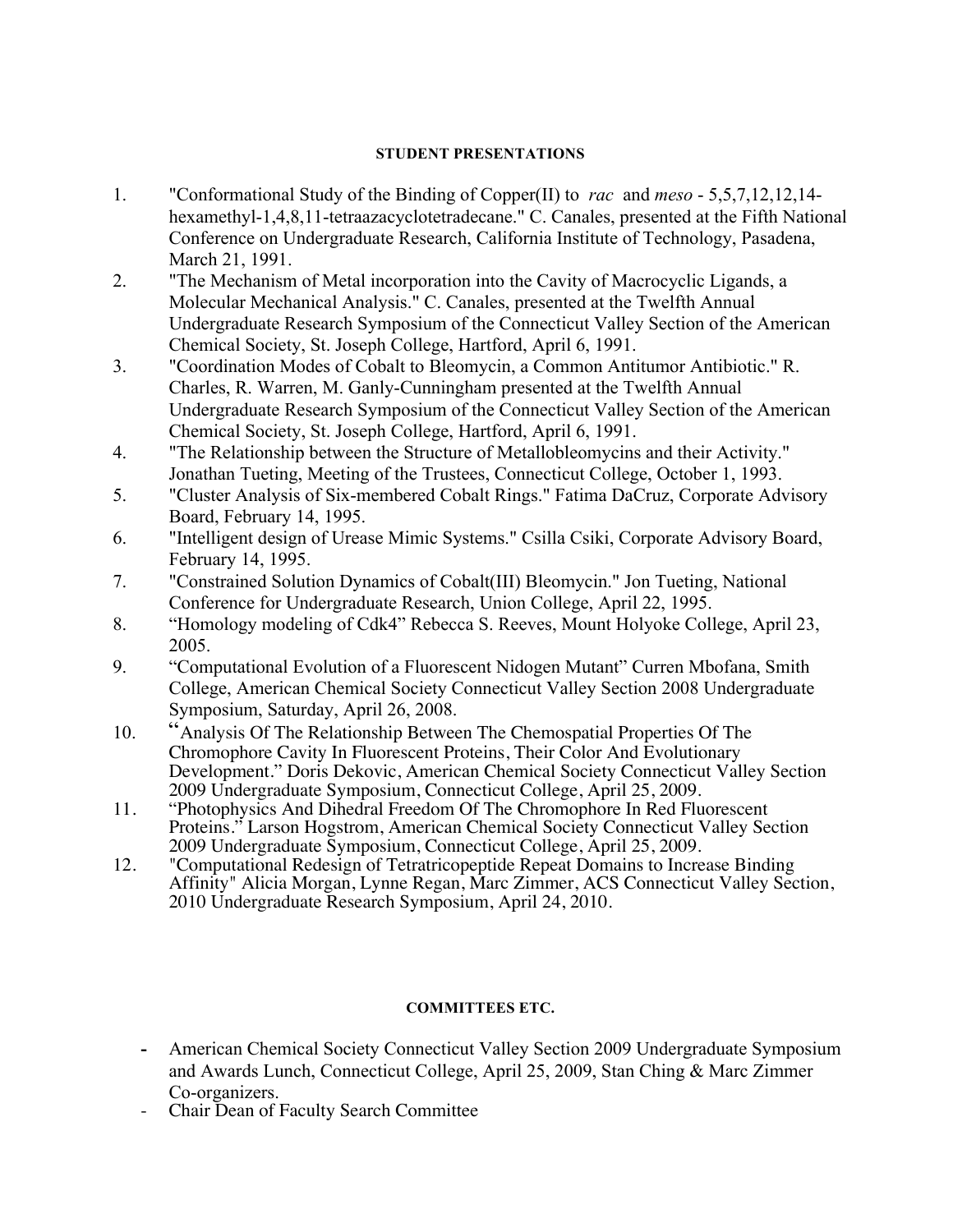### **STUDENT PRESENTATIONS**

- 1. "Conformational Study of the Binding of Copper(II) to *rac* and *meso* 5,5,7,12,12,14 hexamethyl-1,4,8,11-tetraazacyclotetradecane." C. Canales, presented at the Fifth National Conference on Undergraduate Research, California Institute of Technology, Pasadena, March 21, 1991.
- 2. "The Mechanism of Metal incorporation into the Cavity of Macrocyclic Ligands, a Molecular Mechanical Analysis." C. Canales, presented at the Twelfth Annual Undergraduate Research Symposium of the Connecticut Valley Section of the American Chemical Society, St. Joseph College, Hartford, April 6, 1991.
- 3. "Coordination Modes of Cobalt to Bleomycin, a Common Antitumor Antibiotic." R. Charles, R. Warren, M. Ganly-Cunningham presented at the Twelfth Annual Undergraduate Research Symposium of the Connecticut Valley Section of the American Chemical Society, St. Joseph College, Hartford, April 6, 1991.
- 4. "The Relationship between the Structure of Metallobleomycins and their Activity." Jonathan Tueting, Meeting of the Trustees, Connecticut College, October 1, 1993.
- 5. "Cluster Analysis of Six-membered Cobalt Rings." Fatima DaCruz, Corporate Advisory Board, February 14, 1995.
- 6. "Intelligent design of Urease Mimic Systems." Csilla Csiki, Corporate Advisory Board, February 14, 1995.
- 7. "Constrained Solution Dynamics of Cobalt(III) Bleomycin." Jon Tueting, National Conference for Undergraduate Research, Union College, April 22, 1995.
- 8. "Homology modeling of Cdk4" Rebecca S. Reeves, Mount Holyoke College, April 23, 2005.
- 9. "Computational Evolution of a Fluorescent Nidogen Mutant" Curren Mbofana, Smith College, American Chemical Society Connecticut Valley Section 2008 Undergraduate Symposium, Saturday, April 26, 2008.
- 10. "Analysis Of The Relationship Between The Chemospatial Properties Of The Chromophore Cavity In Fluorescent Proteins, Their Color And Evolutionary Development." Doris Dekovic, American Chemical Society Connecticut Valley Section 2009 Undergraduate Symposium, Connecticut College, April 25, 2009.
- 11. "Photophysics And Dihedral Freedom Of The Chromophore In Red Fluorescent Proteins." Larson Hogstrom, American Chemical Society Connecticut Valley Section 2009 Undergraduate Symposium, Connecticut College, April 25, 2009.
- 12. "Computational Redesign of Tetratricopeptide Repeat Domains to Increase Binding Affinity" Alicia Morgan, Lynne Regan, Marc Zimmer, ACS Connecticut Valley Section, 2010 Undergraduate Research Symposium, April 24, 2010.

#### **COMMITTEES ETC.**

- **-** American Chemical Society Connecticut Valley Section 2009 Undergraduate Symposium and Awards Lunch, Connecticut College, April 25, 2009, Stan Ching & Marc Zimmer Co-organizers.
- Chair Dean of Faculty Search Committee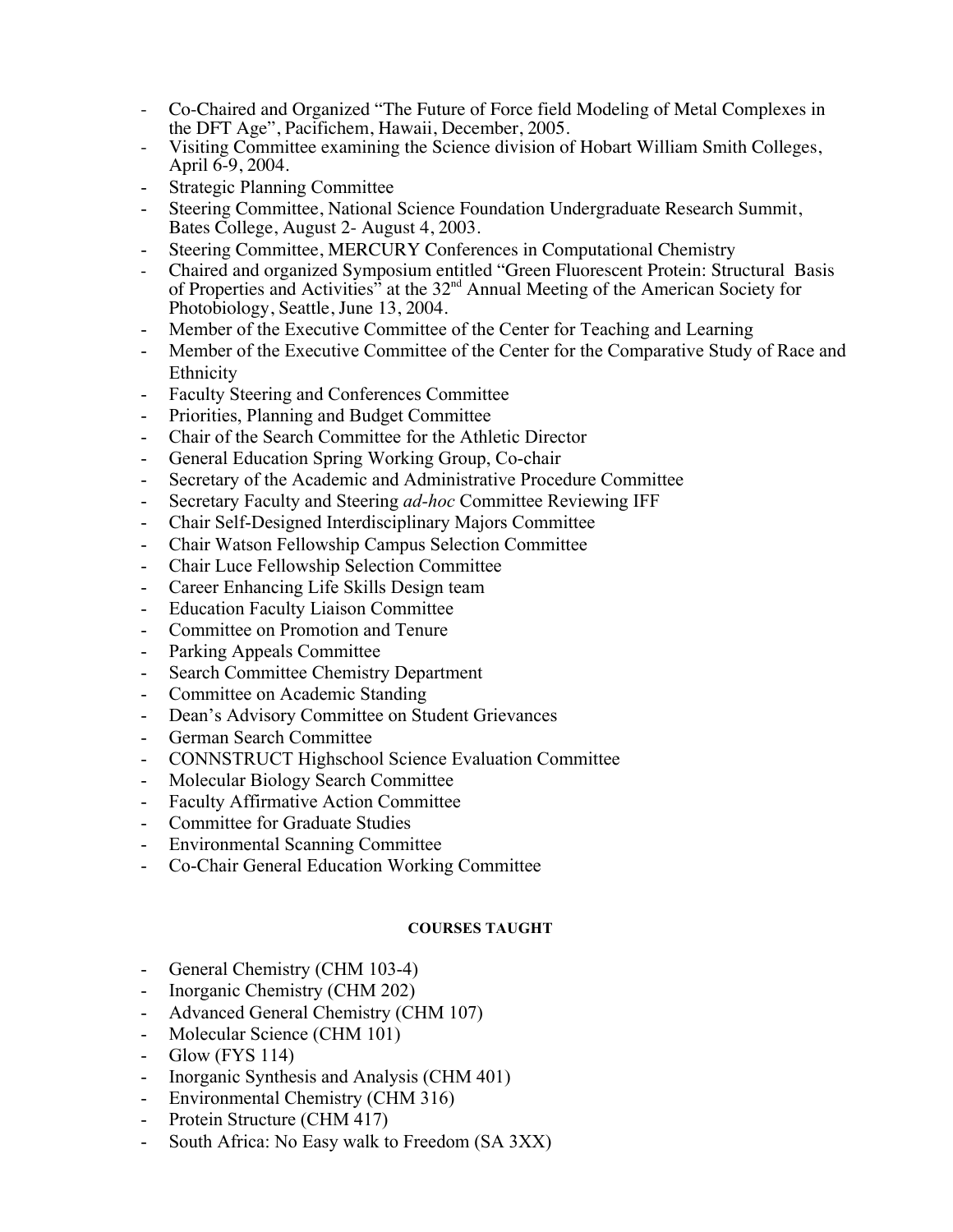- Co-Chaired and Organized "The Future of Force field Modeling of Metal Complexes in the DFT Age", Pacifichem, Hawaii, December, 2005.
- Visiting Committee examining the Science division of Hobart William Smith Colleges, April 6-9, 2004.
- **Strategic Planning Committee**
- Steering Committee, National Science Foundation Undergraduate Research Summit, Bates College, August 2- August 4, 2003.
- Steering Committee, MERCURY Conferences in Computational Chemistry
- Chaired and organized Symposium entitled "Green Fluorescent Protein: Structural Basis of Properties and Activities" at the 32<sup>nd</sup> Annual Meeting of the American Society for Photobiology, Seattle, June 13, 2004.
- Member of the Executive Committee of the Center for Teaching and Learning
- Member of the Executive Committee of the Center for the Comparative Study of Race and Ethnicity
- Faculty Steering and Conferences Committee
- Priorities, Planning and Budget Committee
- Chair of the Search Committee for the Athletic Director
- General Education Spring Working Group, Co-chair
- Secretary of the Academic and Administrative Procedure Committee
- Secretary Faculty and Steering *ad-hoc* Committee Reviewing IFF
- Chair Self-Designed Interdisciplinary Majors Committee
- Chair Watson Fellowship Campus Selection Committee
- Chair Luce Fellowship Selection Committee
- Career Enhancing Life Skills Design team
- Education Faculty Liaison Committee
- Committee on Promotion and Tenure
- Parking Appeals Committee
- Search Committee Chemistry Department
- Committee on Academic Standing
- Dean's Advisory Committee on Student Grievances
- German Search Committee
- CONNSTRUCT Highschool Science Evaluation Committee
- Molecular Biology Search Committee
- Faculty Affirmative Action Committee
- Committee for Graduate Studies
- Environmental Scanning Committee
- Co-Chair General Education Working Committee

## **COURSES TAUGHT**

- General Chemistry (CHM 103-4)
- Inorganic Chemistry (CHM 202)
- Advanced General Chemistry (CHM 107)
- Molecular Science (CHM 101)
- Glow (FYS 114)
- Inorganic Synthesis and Analysis (CHM 401)
- Environmental Chemistry (CHM 316)
- Protein Structure (CHM 417)
- South Africa: No Easy walk to Freedom (SA 3XX)